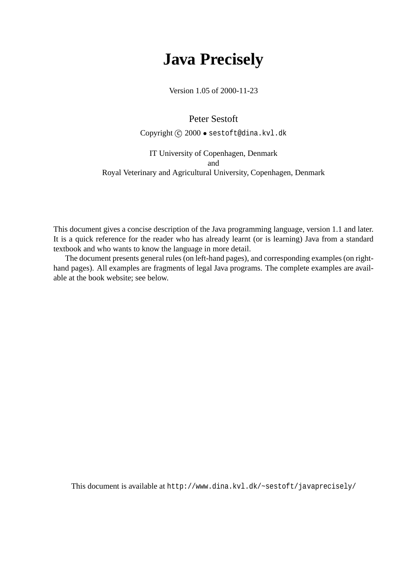# **Java Precisely**

Version 1.05 of 2000-11-23

Peter Sestoft Copyright  $\odot$  2000 • sestoft@dina.kvl.dk

IT University of Copenhagen, Denmark and Royal Veterinary and Agricultural University, Copenhagen, Denmark

This document gives a concise description of the Java programming language, version 1.1 and later. It is a quick reference for the reader who has already learnt (or is learning) Java from a standard textbook and who wants to know the language in more detail.

The document presents general rules (on left-hand pages), and corresponding examples(on righthand pages). All examples are fragments of legal Java programs. The complete examples are available at the book website; see below.

This document is available at http://www.dina.kvl.dk/~sestoft/javaprecisely/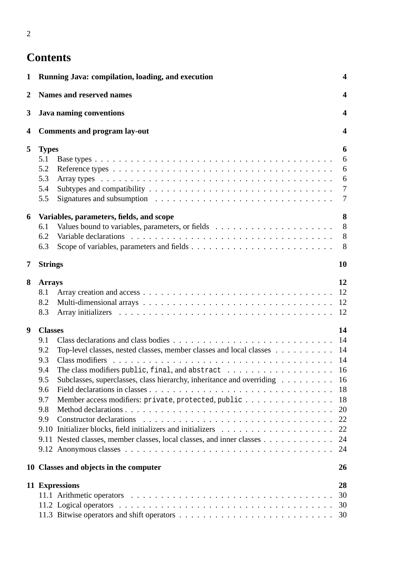| 1              |                | Running Java: compilation, loading, and execution                                                         | $\boldsymbol{4}$        |  |  |  |  |
|----------------|----------------|-----------------------------------------------------------------------------------------------------------|-------------------------|--|--|--|--|
| $\overline{2}$ |                | <b>Names and reserved names</b>                                                                           | $\overline{\mathbf{4}}$ |  |  |  |  |
| 3              |                | Java naming conventions                                                                                   |                         |  |  |  |  |
| 4              |                | <b>Comments and program lay-out</b>                                                                       | 4                       |  |  |  |  |
| 5              | <b>Types</b>   |                                                                                                           | 6                       |  |  |  |  |
|                | 5.1            |                                                                                                           | 6                       |  |  |  |  |
|                | 5.2            |                                                                                                           | 6                       |  |  |  |  |
|                | 5.3            |                                                                                                           | 6                       |  |  |  |  |
|                | 5.4            | Subtypes and compatibility $\ldots \ldots \ldots \ldots \ldots \ldots \ldots \ldots \ldots \ldots \ldots$ | $\tau$                  |  |  |  |  |
|                | 5.5            | Signatures and subsumption $\ldots \ldots \ldots \ldots \ldots \ldots \ldots \ldots \ldots \ldots$        | $\overline{7}$          |  |  |  |  |
| 6              |                | Variables, parameters, fields, and scope                                                                  | 8                       |  |  |  |  |
|                | 6.1            |                                                                                                           | 8                       |  |  |  |  |
|                | 6.2            |                                                                                                           | 8                       |  |  |  |  |
|                | 6.3            |                                                                                                           | 8                       |  |  |  |  |
| 7              | <b>Strings</b> |                                                                                                           | 10                      |  |  |  |  |
| 8              | <b>Arrays</b>  |                                                                                                           | 12                      |  |  |  |  |
|                | 8.1            |                                                                                                           | 12                      |  |  |  |  |
|                | 8.2            |                                                                                                           | 12                      |  |  |  |  |
|                | 8.3            |                                                                                                           | 12                      |  |  |  |  |
| 9              | <b>Classes</b> |                                                                                                           | 14                      |  |  |  |  |
|                | 9.1            |                                                                                                           | 14                      |  |  |  |  |
|                | 9.2            | Top-level classes, nested classes, member classes and local classes                                       | 14                      |  |  |  |  |
|                | 9.3            | Class modifiers                                                                                           | 14                      |  |  |  |  |
|                | 9.4            |                                                                                                           | 16                      |  |  |  |  |
|                | 9.5            | Subclasses, superclasses, class hierarchy, inheritance and overriding $\dots \dots \dots$                 | 16                      |  |  |  |  |
|                | 9.6            |                                                                                                           | 18                      |  |  |  |  |
|                | 9.7            | Member access modifiers: private, protected, public                                                       | 18                      |  |  |  |  |
|                | 9.8            |                                                                                                           | 20                      |  |  |  |  |
|                | 9.9            |                                                                                                           | 22                      |  |  |  |  |
|                |                |                                                                                                           | 22                      |  |  |  |  |
|                |                | 9.11 Nested classes, member classes, local classes, and inner classes                                     | 24                      |  |  |  |  |
|                |                |                                                                                                           | 24                      |  |  |  |  |
|                |                | 10 Classes and objects in the computer                                                                    | 26                      |  |  |  |  |
|                |                | 11 Expressions                                                                                            | 28                      |  |  |  |  |
|                |                |                                                                                                           | 30                      |  |  |  |  |
|                |                |                                                                                                           | 30                      |  |  |  |  |
|                |                |                                                                                                           | 30                      |  |  |  |  |

2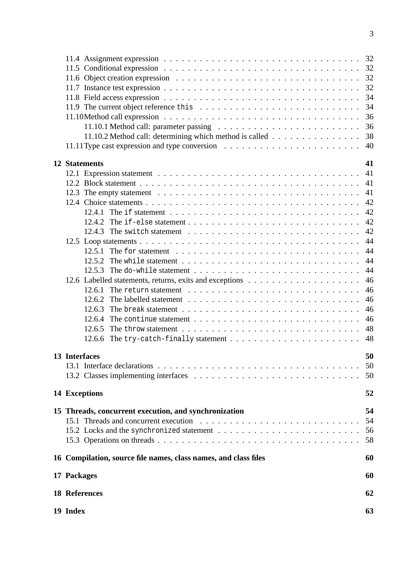| 19 Index                                                                                                             | 63       |  |  |  |  |  |  |
|----------------------------------------------------------------------------------------------------------------------|----------|--|--|--|--|--|--|
| <b>18 References</b>                                                                                                 | 62       |  |  |  |  |  |  |
| 17 Packages                                                                                                          | 60       |  |  |  |  |  |  |
| 16 Compilation, source file names, class names, and class files                                                      | 60       |  |  |  |  |  |  |
|                                                                                                                      | 58       |  |  |  |  |  |  |
|                                                                                                                      | 56       |  |  |  |  |  |  |
| 15 Threads, concurrent execution, and synchronization                                                                | 54<br>54 |  |  |  |  |  |  |
| <b>14 Exceptions</b>                                                                                                 |          |  |  |  |  |  |  |
|                                                                                                                      | 52       |  |  |  |  |  |  |
|                                                                                                                      | 50       |  |  |  |  |  |  |
| 13 Interfaces                                                                                                        | 50<br>50 |  |  |  |  |  |  |
| 12.6.6 The try-catch-finally statement $\dots \dots \dots \dots \dots \dots \dots \dots$                             | 48       |  |  |  |  |  |  |
| 12.6.5 The throw statement $\ldots \ldots \ldots \ldots \ldots \ldots \ldots \ldots \ldots \ldots \ldots$            | 48       |  |  |  |  |  |  |
| 12.6.4 The continue statement $\ldots \ldots \ldots \ldots \ldots \ldots \ldots \ldots \ldots \ldots$                | 46       |  |  |  |  |  |  |
| 12.6.3 The break statement $\ldots \ldots \ldots \ldots \ldots \ldots \ldots \ldots \ldots \ldots \ldots$            | 46       |  |  |  |  |  |  |
| 12.6.2 The labelled statement $\ldots \ldots \ldots \ldots \ldots \ldots \ldots \ldots \ldots \ldots \ldots$         | 46       |  |  |  |  |  |  |
|                                                                                                                      | 46       |  |  |  |  |  |  |
|                                                                                                                      | 46       |  |  |  |  |  |  |
| 12.5.3 The do-while statement $\ldots \ldots \ldots \ldots \ldots \ldots \ldots \ldots \ldots \ldots$                | 44       |  |  |  |  |  |  |
| 12.5.2 The while statement $\ldots \ldots \ldots \ldots \ldots \ldots \ldots \ldots \ldots \ldots \ldots$            | 44       |  |  |  |  |  |  |
| 12.5.1 The for statement $\dots \dots \dots \dots \dots \dots \dots \dots \dots \dots \dots \dots \dots \dots$       | 44       |  |  |  |  |  |  |
|                                                                                                                      | 44       |  |  |  |  |  |  |
| 12.4.3 The switch statement $\ldots \ldots \ldots \ldots \ldots \ldots \ldots \ldots \ldots \ldots \ldots$           | 42<br>42 |  |  |  |  |  |  |
| 12.4.1 The if statement $\ldots \ldots \ldots \ldots \ldots \ldots \ldots \ldots \ldots \ldots \ldots \ldots \ldots$ | 42       |  |  |  |  |  |  |
|                                                                                                                      | 42       |  |  |  |  |  |  |
|                                                                                                                      | 41       |  |  |  |  |  |  |
|                                                                                                                      | 41       |  |  |  |  |  |  |
|                                                                                                                      | 41       |  |  |  |  |  |  |
| <b>12 Statements</b>                                                                                                 | 41       |  |  |  |  |  |  |
|                                                                                                                      | 40       |  |  |  |  |  |  |
| 11.10.2 Method call: determining which method is called                                                              | 38       |  |  |  |  |  |  |
|                                                                                                                      | 36       |  |  |  |  |  |  |
|                                                                                                                      | 36       |  |  |  |  |  |  |
|                                                                                                                      | 34       |  |  |  |  |  |  |
|                                                                                                                      | 32<br>34 |  |  |  |  |  |  |
|                                                                                                                      |          |  |  |  |  |  |  |
|                                                                                                                      |          |  |  |  |  |  |  |
|                                                                                                                      |          |  |  |  |  |  |  |
|                                                                                                                      |          |  |  |  |  |  |  |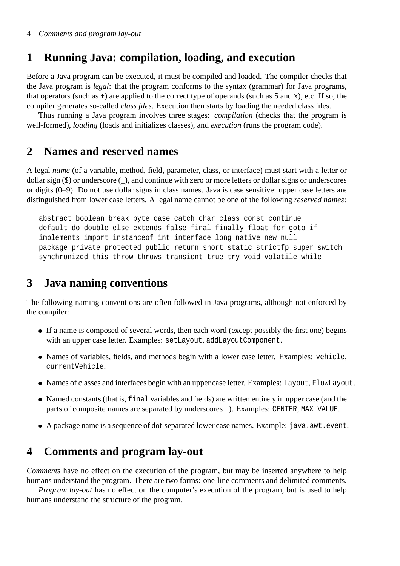# **1 Running Java: compilation, loading, and execution**

Before a Java program can be executed, it must be compiled and loaded. The compiler checks that the Java program is *legal*: that the program conforms to the syntax (grammar) for Java programs, that operators (such as  $+$ ) are applied to the correct type of operands (such as  $5$  and x), etc. If so, the compiler generates so-called *class files*. Execution then starts by loading the needed class files.

Thus running a Java program involves three stages: *compilation* (checks that the program is well-formed), *loading* (loads and initializes classes), and *execution* (runs the program code).

# **2 Names and reserved names**

A legal *name* (of a variable, method, field, parameter, class, or interface) must start with a letter or dollar sign  $(\$)$  or underscore (), and continue with zero or more letters or dollar signs or underscores or digits (0–9). Do not use dollar signs in class names. Java is case sensitive: upper case letters are distinguished from lower case letters. A legal name cannot be one of the following *reserved names*:

abstract boolean break byte case catch char class const continue default do double else extends false final finally float for goto if implements import instanceof int interface long native new null package private protected public return short static strictfp super switch synchronized this throw throws transient true try void volatile while

# **3 Java naming conventions**

The following naming conventions are often followed in Java programs, although not enforced by the compiler:

- If a name is composed of several words, then each word (except possibly the first one) begins with an upper case letter. Examples: setLayout, addLayoutComponent.
- Names of variables, fields, and methods begin with a lower case letter. Examples: vehicle, currentVehicle.
- Names of classes and interfaces begin with an upper case letter. Examples: Layout, FlowLayout.
- Named constants (that is, final variables and fields) are written entirely in upper case (and the parts of composite names are separated by underscores . Examples: CENTER, MAX, VALUE.
- A package name is a sequence of dot-separated lower case names. Example: java.awt.event.

# **4 Comments and program lay-out**

*Comments* have no effect on the execution of the program, but may be inserted anywhere to help humans understand the program. There are two forms: one-line comments and delimited comments.

*Program lay-out* has no effect on the computer's execution of the program, but is used to help humans understand the structure of the program.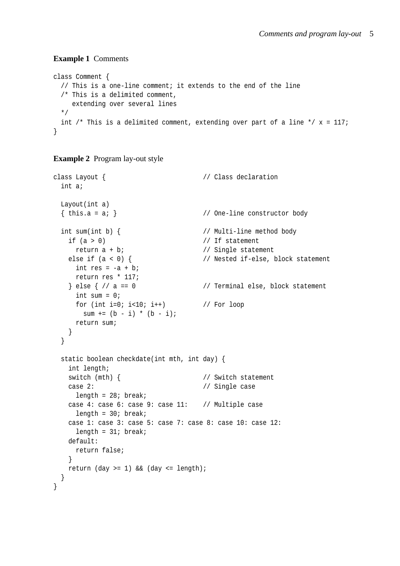#### **Example 1** Comments

```
class Comment {
 // This is a one-line comment; it extends to the end of the line
  /* This is a delimited comment,
    extending over several lines
 */
 int /* This is a delimited comment, extending over part of a line */ x = 117;
}
```

```
Example 2 Program lay-out style
```

```
class Layout { // Class declaration
 int a;
 Layout(int a)
 \{ this.a = ai \} // One-line constructor body
 int sum(int b) { \qquad // Multi-line method body
   if (a > 0) // If statement
    return a + b; // Single statement
   else if (a < 0) { // Nested if-else, block statement
    int res = -a + bireturn res * 117;
   \{ // a == 0 \} // Terminal else, block statement
    int sum = 0;for (int i=0; i<10; i++) // For loop
     sum + = (b - i) * (b - i);return sum;
   }
 }
 static boolean checkdate(int mth, int day) {
   int length;
   switch (mth) { \frac{1}{2} // Switch statement
   case 2: \frac{1}{2} // Single case
    length = 28; break;
   case 4: case 6: case 9: case 11: // Multiple case
    length = 30; break;
   case 1: case 3: case 5: case 7: case 8: case 10: case 12:
    length = 31; break;
   default:
   return false;
   }
  return (day >= 1) && (day <= length);
 }
}
```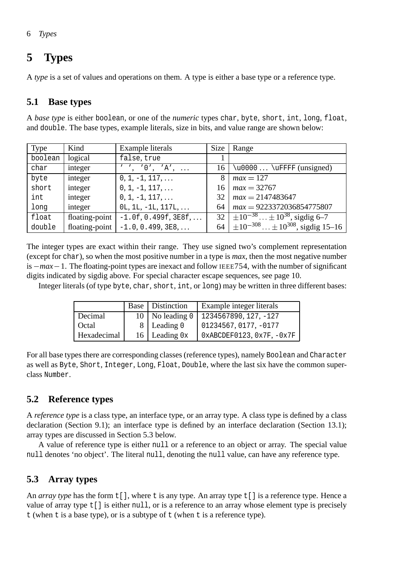# **5 Types**

A *type* is a set of values and operations on them. A type is either a base type or a reference type.

# **5.1 Base types**

A *base type* is either boolean, or one of the *numeric* types char, byte, short, int, long, float, and double. The base types, example literals, size in bits, and value range are shown below:

| Type    | Kind           | Example literals            | Size | Range                                                     |
|---------|----------------|-----------------------------|------|-----------------------------------------------------------|
| boolean | logical        | false, true                 |      |                                                           |
| char    | integer        | $'$ , '0', 'A',             | 16   | $\u0000 \uFFT$ (unsigned)                                 |
| byte    | integer        | $0, 1, -1, 117, \ldots$     | 8    | $max = 127$                                               |
| short   | integer        | $0, 1, -1, 117, \ldots$     | 16   | $max = 32767$                                             |
| int     | integer        | $0, 1, -1, 117, \ldots$     | 32   | $max = 2147483647$                                        |
| long    | integer        | $0L, 1L, -1L, 117L, \ldots$ | 64   | $max = 9223372036854775807$                               |
| float   | floating-point | $-1.0f, 0.499f, 3E8f, $     |      | $\overline{32}$ $\pm 10^{-38}$ $\pm 10^{38}$ , sigdig 6–7 |
| double  | floating-point | $-1.0, 0.499, 3E8, \ldots$  |      | 64 $\pm 10^{-308}$ $\pm 10^{308}$ , sigdig 15–16          |

The integer types are exact within their range. They use signed two's complement representation (except for char), so when the most positive number in a type is *max*, then the most negative number is  $-max - 1$ . The floating-point types are inexact and follow IEEE754, with the number of significant digits indicated by sigdig above. For special character escape sequences, see page 10.

Integer literals (of type byte, char, short, int, or long) may be written in three different bases:

|             | Base   Distinction | Example integer literals          |
|-------------|--------------------|-----------------------------------|
| Decimal     | $10$ No leading 0  | 1234567890, 127, -127             |
| Octal       | 8 Leading 0        | 01234567, 0177, -0177             |
| Hexadecimal | $16$ Leading 0x    | $0x$ ABCDEF0123, $0x7F$ , $-0x7F$ |

For all base types there are corresponding classes (reference types), namely Boolean and Character as well as Byte, Short, Integer, Long, Float, Double, where the last six have the common superclass Number.

# **5.2 Reference types**

A *reference type* is a class type, an interface type, or an array type. A class type is defined by a class declaration (Section 9.1); an interface type is defined by an interface declaration (Section 13.1); array types are discussed in Section 5.3 below.

A value of reference type is either null or a reference to an object or array. The special value null denotes 'no object'. The literal null, denoting the null value, can have any reference type.

# **5.3 Array types**

An *array type* has the form t[], where t is any type. An array type t[] is a reference type. Hence a value of array type t[] is either null, or is a reference to an array whose element type is precisely  $t$  (when t is a base type), or is a subtype of  $t$  (when t is a reference type).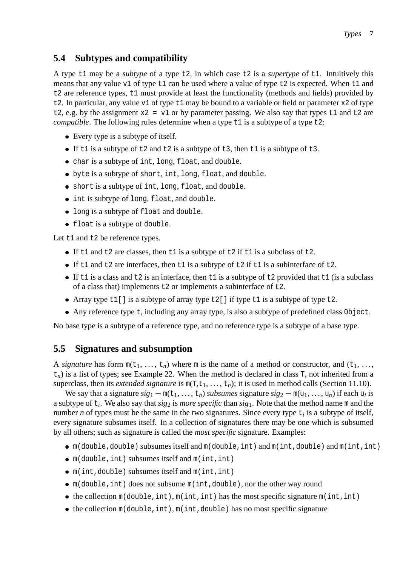## **5.4 Subtypes and compatibility**

A type t1 may be a *subtype* of a type t2, in which case t2 is a *supertype* of t1. Intuitively this means that any value v1 of type t1 can be used where a value of type t2 is expected. When t1 and t2 are reference types, t1 must provide at least the functionality (methods and fields) provided by t 2. In particular, any value v1 of type t1 may be bound to a variable or field or parameter  $x^2$  of type t2, e.g. by the assignment  $x^2 = v^1$  or by parameter passing. We also say that types t1 and t2 are *compatible*. The following rules determine when a type t1 is a subtype of a type t2:

- Every type is a subtype of itself.
- If the is a subtype of the subtype of the subtype of the subtype of the subtype of the subtype of the subtype of the subtype of the subtype of the subtype of the subtype of the subtype of the subtype of the subtype of the
- char is a subtype of int, long, float, and double.
- byte is a subtype of short, int, long, float, and double.
- short is a subtype of int, long, float, and double.
- int is subtype of long, float, and double.
- long is a subtype of float and double.
- float is a subtype of double.

Let t1 and t2 be reference types.

- If t1 and t2 are classes, then t1 is a subtype of t2 if t1 is a subclass of t2.
- If t1 and t2 are interfaces, then t1 is a subtype of t2 if t1 is a subinterface of t2.
- If t1 is a class and t2 is an interface, then t1 is a subtype of t2 provided that t1 (is a subclass of a class that) implements t2 or implements a subinterface of t2.
- Array type t1[] is a subtype of array type t2[] if type t1 is a subtype of type t2.
- Any reference type t, including any array type, is also a subtype of predefined class Object.

No base type is a subtype of a reference type, and no reference type is a subtype of a base type.

# **5.5 Signatures and subsumption**

A *signature* has form  $m(t_1, ..., t_n)$  where m is the name of a method or constructor, and  $(t_1, ..., t_n)$  $t_n$ ) is a list of types; see Example 22. When the method is declared in class T, not inherited from a superclass, then its *extended signature* is  $m(T,t_1, \ldots, t_n)$ ; it is used in method calls (Section 11.10).

We say that a signature  $sig_1 = m(t_1, ..., t_n)$  *subsumes* signature  $sig_2 = m(u_1, ..., u_n)$  if each  $u_i$  is a subtype of t*<sup>i</sup>* . We also say that *sig*<sup>2</sup> is *more specific* than *sig*1. Note that the method name m and the number *n* of types must be the same in the two signatures. Since every type  $t_i$  is a subtype of itself, every signature subsumes itself. In a collection of signatures there may be one which is subsumed by all others; such as signature is called the *most specific* signature. Examples:

- m(double,double) subsumesitself and m(double,int) and m(int,double) and m(int,int)
- m(double,int) subsumes itself and m(int,int)
- m(int,double) subsumes itself and m(int,int)
- m(double,int) does not subsume m(int,double), nor the other way round
- $\bullet$  the collection  $m(\text{double},\text{int}), m(\text{int},\text{int})$  has the most specific signature  $m(\text{int},\text{int})$
- the collection  $m(\text{double},\text{int}), m(\text{int},\text{double})$  has no most specific signature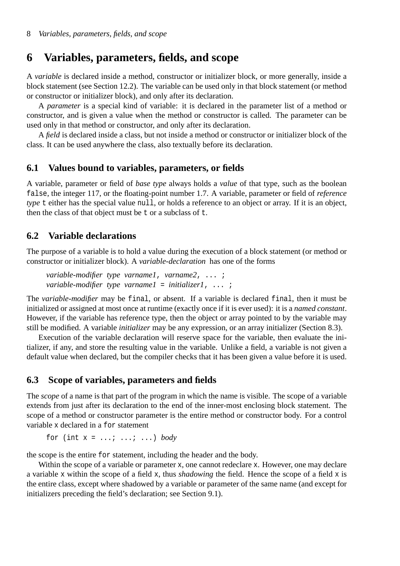# **6 Variables, parameters, fields, and scope**

A *variable* is declared inside a method, constructor or initializer block, or more generally, inside a block statement (see Section 12.2). The variable can be used only in that block statement (or method or constructor or initializer block), and only after its declaration.

A *parameter* is a special kind of variable: it is declared in the parameter list of a method or constructor, and is given a value when the method or constructor is called. The parameter can be used only in that method or constructor, and only after its declaration.

A *field* is declared inside a class, but not inside a method or constructor or initializer block of the class. It can be used anywhere the class, also textually before its declaration.

### **6.1 Values bound to variables, parameters, or fields**

A variable, parameter or field of *base type* always holds a *value* of that type, such as the boolean false, the integer 117, or the floating-point number 1.7. A variable, parameter or field of *reference type* t either has the special value null, or holds a reference to an object or array. If it is an object, then the class of that object must be t or a subclass of t.

## **6.2 Variable declarations**

The purpose of a variable is to hold a value during the execution of a block statement (or method or constructor or initializer block). A *variable-declaration* has one of the forms

*variable-modifier type varname1*, *varname2*, ... ; *variable-modifier type varname1* = *initializer1*, ... ;

The *variable-modifier* may be final, or absent. If a variable is declared final, then it must be initialized or assigned at most once at runtime (exactly once if it is ever used): it is a *named constant*. However, if the variable has reference type, then the object or array pointed to by the variable may still be modified. A variable *initializer* may be any expression, or an array initializer (Section 8.3).

Execution of the variable declaration will reserve space for the variable, then evaluate the initializer, if any, and store the resulting value in the variable. Unlike a field, a variable is not given a default value when declared, but the compiler checks that it has been given a value before it is used.

### **6.3 Scope of variables, parameters and fields**

The *scope* of a name is that part of the program in which the name is visible. The scope of a variable extends from just after its declaration to the end of the inner-most enclosing block statement. The scope of a method or constructor parameter is the entire method or constructor body. For a control variable x declared in a for statement

for (int x = ...; ...; ...) *body*

the scope is the entire for statement, including the header and the body.

Within the scope of a variable or parameter x, one cannot redeclare x. However, one may declare a variable x within the scope of a field x, thus *shadowing* the field. Hence the scope of a field x is the entire class, except where shadowed by a variable or parameter of the same name (and except for initializers preceding the field's declaration; see Section 9.1).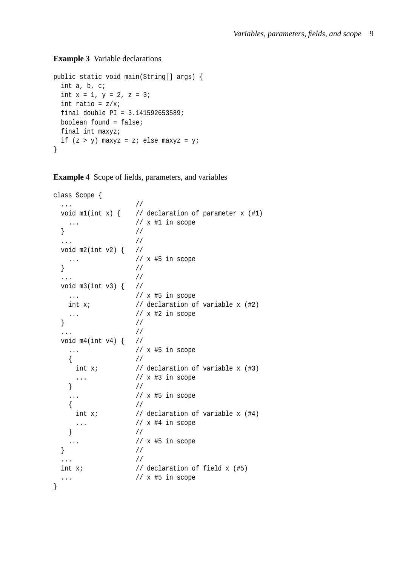#### **Example 3** Variable declarations

```
public static void main(String[] args) {
  int a, b, c;
  int x = 1, y = 2, z = 3;
 int ratio = z/x;
  final double PI = 3.141592653589;
 boolean found = false;
 final int maxyz;
 if (z > y) maxyz = z; else maxyz = y;
}
```
**Example 4** Scope of fields, parameters, and variables

```
class Scope {
 ... //
 void m1(int x) { // declaration of parameter x (#1)
  ... // x #1 in scope
 } //
 ... //
 void m2(int v2) { //
  ... // x #5 in scope
 } //
 ... //
 void m3(int v3) { //
  ... // x #5 in scope
  int x; \frac{1}{2} // declaration of variable x (#2)
  \frac{1}{x} \frac{1}{x} \frac{1}{x} in scope
 } //
 ... //
 void m4(int v4) { //
  ... // x #5 in scope
  \{ //
  int x; // declaration of variable x (#3)
   ... // x #3 in scope
  } //
  \frac{1}{x} \frac{1}{x} \frac{1}{x} in scope
  \{ //
  int x; \frac{1}{4} // declaration of variable x (#4)
   ... // x #4 in scope
  } //
  ... // x #5 in scope
 } //
 ... //
 int x; \frac{1}{10} // declaration of field x (#5)
 ... // x #5 in scope
}
```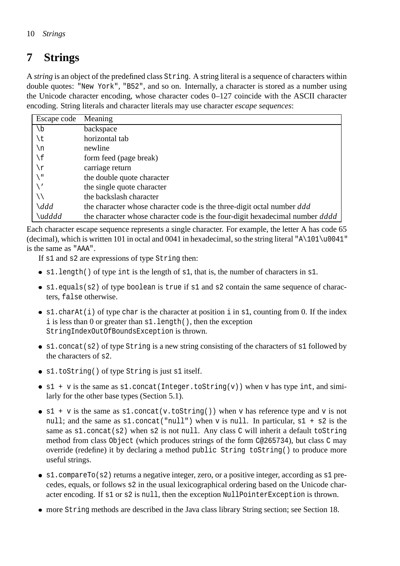# **7 Strings**

A *string* is an object of the predefined class String. A string literal is a sequence of characters within double quotes: "New York", "B52", and so on. Internally, a character is stored as a number using the Unicode character encoding, whose character codes 0–127 coincide with the ASCII character encoding. String literals and character literals may use character *escape sequences*:

| Escape code             | Meaning                                                                      |
|-------------------------|------------------------------------------------------------------------------|
| $\setminus$ b           | backspace                                                                    |
| \t                      | horizontal tab                                                               |
| \n                      | newline                                                                      |
| $\backslash f$          | form feed (page break)                                                       |
| \r                      | carriage return                                                              |
| - 11                    | the double quote character                                                   |
| $\sqrt{ }$              | the single quote character                                                   |
|                         | the backslash character                                                      |
| $\setminus d \, d \, d$ | the character whose character code is the three-digit octal number ddd       |
| \udddd                  | the character whose character code is the four-digit hexadecimal number dddd |

Each character escape sequence represents a single character. For example, the letter A has code 65 (decimal), which is written 101 in octal and 0041 in hexadecimal, so the string literal "A\101\u0041" is the same as "AAA".

If s1 and s2 are expressions of type String then:

- $\bullet$  s1. length() of type int is the length of s1, that is, the number of characters in s1.
- s1.equals(s2) of type boolean is true if s1 and s2 contain the same sequence of characters, false otherwise.
- $\bullet$  s1. charAt(i) of type char is the character at position i in s1, counting from 0. If the index i is less than 0 or greater than s1.length(), then the exception StringIndexOutOfBoundsException is thrown.
- s1.concat(s2) of type String is a new string consisting of the characters of s1 followed by the characters of s2.
- s1.toString() of type String is just s1 itself.
- $s1 + v$  is the same as  $s1$ . concat (Integer.toString(v)) when v has type int, and similarly for the other base types (Section 5.1).
- $s1 + v$  is the same as  $s1$ . concat(v.toString()) when v has reference type and v is not null; and the same as  $s1$ .concat("null") when v is null. In particular,  $s1 + s2$  is the same as  $s1$ .concat(s2) when s2 is not null. Any class C will inherit a default toString method from class Object (which produces strings of the form C@265734), but class C may override (redefine) it by declaring a method public String toString() to produce more useful strings.
- s1.compareTo(s2) returns a negative integer, zero, or a positive integer, according as s1 precedes, equals, or follows s2 in the usual lexicographical ordering based on the Unicode character encoding. If s1 or s2 is null, then the exception NullPointerException is thrown.
- more String methods are described in the Java class library String section; see Section 18.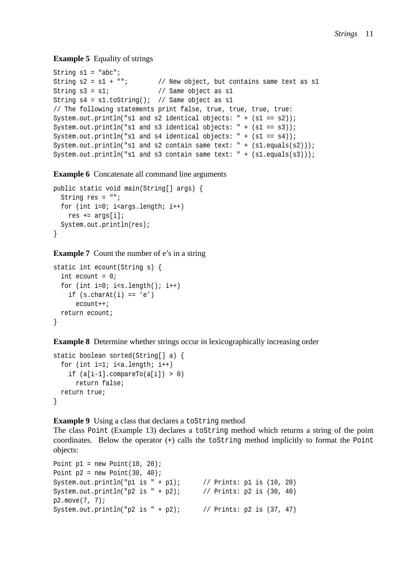#### **Example 5** Equality of strings

```
String sl = "abc";String s2 = s1 + ""; // New object, but contains same text as s1String s3 = s1; \frac{1}{2} // Same object as s1
String s4 = s1.toString(); // Same object as s1// The following statements print false, true, true, true, true:
System.out.println("s1 and s2 identical objects: " + (s1 == s2));
System.out.println("s1 and s3 identical objects: " + (s1 == s3));
System.out.println("s1 and s4 identical objects: " + (s1 == s4));
System.out.println("s1 and s2 contain same text: " + (s1.equals(s2)));
System.out.println("s1 and s3 contain same text: " + (s1.equals(s3)));
```

```
Example 6 Concatenate all command line arguments
```

```
public static void main(String[] args) {
 String res = "";
 for (int i=0; i<args.length; i++)res += \arg[i];System.out.println(res);
}
```
**Example 7** Count the number of e's in a string

```
static int ecount(String s) {
 int ecount = 0;for (int i=0; i< s.length(); i++)if (s.\text{char}At(i) == 'e')ecount++;
 return ecount;
}
```
**Example 8** Determine whether strings occur in lexicographically increasing order

```
static boolean sorted(String[] a) {
 for (int i=1; i<sub>4</sub>, length; i++)
    if (a[i-1].compareTo(a[i]) > 0)return false;
 return true;
}
```
**Example 9** Using a class that declares a toString method

The class Point (Example 13) declares a toString method which returns a string of the point coordinates. Below the operator (+) calls the toString method implicitly to format the Point objects:

```
Point p1 = new Point(10, 20);
Point p2 = new Point(30, 40);
System.out.println("p1 is " + p1); // Prints: p1 is (10, 20)
System.out.println("p2 is " + p2); // Prints: p2 is (30, 40)
p2.move(7, 7);
System.out.println("p2 is " + p2); // Prints: p2 is (37, 47)
```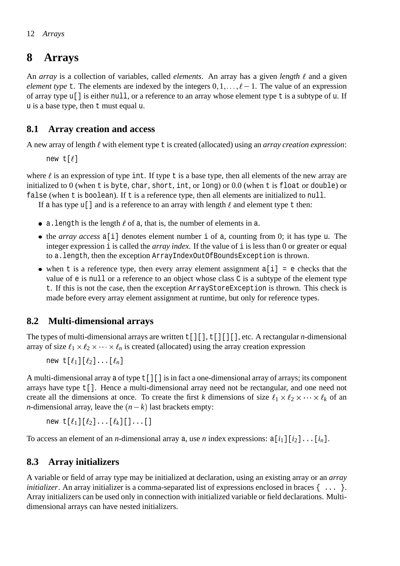# **8 Arrays**

An *array* is a collection of variables, called *elements*. An array has a given *length*  $\ell$  and a given *element type* t. The elements are indexed by the integers  $0, 1, \ldots, \ell - 1$ . The value of an expression of array type u[] is either null, or a reference to an array whose element type t is a subtype of u. If u is a base type, then t must equal u.

# **8.1 Array creation and access**

A new array of length  $\ell$  with element type t is created (allocated) using an *array creation expression*:

new  $t[\ell]$ 

where  $\ell$  is an expression of type int. If type t is a base type, then all elements of the new array are initialized to 0 (when t is byte, char, short, int, or long) or 0.0 (when t is float or double) or false (when t is boolean). If t is a reference type, then all elements are initialized to null.

If a has type  $u$ [] and is a reference to an array with length  $\ell$  and element type t then:

- a. length is the length  $\ell$  of a, that is, the number of elements in a.
- the *array access* a[i] denotes element number i of a, counting from 0; it has type u. The integer expression i is called the *array index*. If the value of i is less than 0 or greater or equal to a.length, then the exception ArrayIndexOutOfBoundsException is thrown.
- when t is a reference type, then every array element assignment  $a[i] = e$  checks that the value of e is null or a reference to an object whose class C is a subtype of the element type t. If this is not the case, then the exception ArrayStoreException is thrown. This check is made before every array element assignment at runtime, but only for reference types.

# **8.2 Multi-dimensional arrays**

The types of multi-dimensional arrays are written t[][], t[][][], etc. A rectangular *n*-dimensional array of size  $\ell_1 \times \ell_2 \times \cdots \times \ell_n$  is created (allocated) using the array creation expression

new  $t[\ell_1][\ell_2] \ldots [\ell_n]$ 

A multi-dimensional array a of type t[][] is in fact a one-dimensional array of arrays; its component arrays have type t[]. Hence a multi-dimensional array need not be rectangular, and one need not create all the dimensions at once. To create the first *k* dimensions of size  $\ell_1 \times \ell_2 \times \cdots \times \ell_k$  of an *n*-dimensional array, leave the  $(n - k)$  last brackets empty:

new  $t[\ell_1][\ell_2]...[\ell_k][]\ldots]$ 

To access an element of an *n*-dimensional array a, use *n* index expressions:  $a[i_1][i_2] \ldots [i_n]$ .

# **8.3 Array initializers**

A variable or field of array type may be initialized at declaration, using an existing array or an *array initializer*. An array initializer is a comma-separated list of expressions enclosed in braces  $\{\ldots\}$ . Array initializers can be used only in connection with initialized variable or field declarations. Multidimensional arrays can have nested initializers.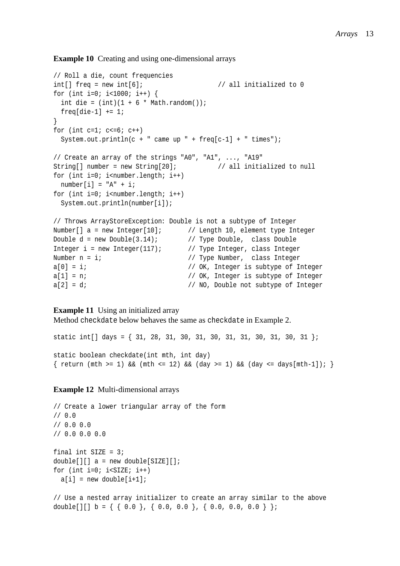#### **Example 10** Creating and using one-dimensional arrays

```
// Roll a die, count frequencies
int[] freq = new int[6]; // all initialized to 0
for (int i=0; i<1000; i++) {
 int die = (int)(1 + 6 * Math.random());
 freq[die-1] += 1;}
for (int c=1; c<=6; c++)
 System.out.println(c + " came up " + freq[c-1] + " times");
// Create an array of the strings "A0", "A1", ..., "A19"
String[] number = new String[20]; // all initialized to null
for (int i=0; i<number.length; i++)number[i] = "A" + i;for (int i=0; i<number.length; i++)System.out.println(number[i]);
// Throws ArrayStoreException: Double is not a subtype of Integer
Number[] a = new Integer[10]; // Length 10, element type Integer
Double d = new Double(3.14); // Type Double, class Double
Integer i = new Integer(117); // Type Integer, class Integer
Number n = i; \frac{1}{2} // Type Number, class Integer
a[0] = i; // OK, Integer is subtype of Integer
a[1] = n; // OK, Integer is subtype of Integer
a[2] = d; // NO, Double not subtype of Integer
```
#### **Example 11** Using an initialized array

Method checkdate below behaves the same as checkdate in Example 2.

```
static int[] days = { 31, 28, 31, 30, 31, 30, 31, 31, 30, 31, 30, 31 };
static boolean checkdate(int mth, int day)
{ return (mth >= 1) && (mth <= 12) && (day >= 1) && (day <= days[mth-1]); }
```
#### **Example 12** Multi-dimensional arrays

```
// Create a lower triangular array of the form
// 0.0
// 0.0 0.0
// 0.0 0.0 0.0
final int SIZE = 3;
double[][] a = new double[SIZE][];
for (int i=0; i<SIZE; i++)
 a[i] = new double[i+1];
// Use a nested array initializer to create an array similar to the above
double[][] b = { { 0.0 }, { 0.0, 0.0 }, { 0.0, 0.0, 0.0 } };
```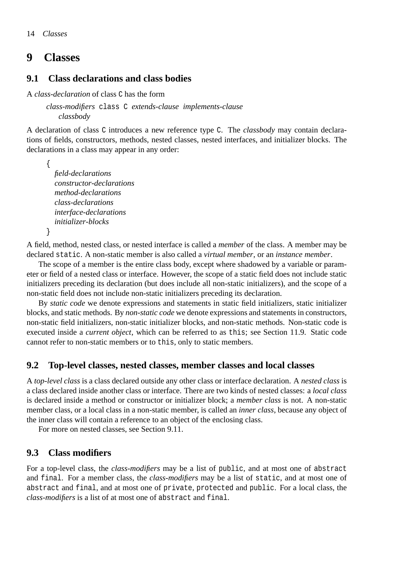# **9 Classes**

}

# **9.1 Class declarations and class bodies**

A *class-declaration* of class C has the form

*class-modifiers* class C *extends-clause implements-clause classbody*

A declaration of class C introduces a new reference type C. The *classbody* may contain declarations of fields, constructors, methods, nested classes, nested interfaces, and initializer blocks. The declarations in a class may appear in any order:

{ *field-declarations constructor-declarations method-declarations class-declarations interface-declarations initializer-blocks*

A field, method, nested class, or nested interface is called a *member* of the class. A member may be declared static. A non-static member is also called a *virtual member*, or an *instance member*.

The scope of a member is the entire class body, except where shadowed by a variable or parameter or field of a nested class or interface. However, the scope of a static field does not include static initializers preceding its declaration (but does include all non-static initializers), and the scope of a non-static field does not include non-static initializers preceding its declaration.

By *static code* we denote expressions and statements in static field initializers, static initializer blocks, and static methods. By *non-static code* we denote expressions and statements in constructors, non-static field initializers, non-static initializer blocks, and non-static methods. Non-static code is executed inside a *current object*, which can be referred to as this; see Section 11.9. Static code cannot refer to non-static members or to this, only to static members.

# **9.2 Top-level classes, nested classes, member classes and local classes**

A *top-level class* is a class declared outside any other class or interface declaration. A *nested class* is a class declared inside another class or interface. There are two kinds of nested classes: a *local class* is declared inside a method or constructor or initializer block; a *member class* is not. A non-static member class, or a local class in a non-static member, is called an *inner class*, because any object of the inner class will contain a reference to an object of the enclosing class.

For more on nested classes, see Section 9.11.

# **9.3 Class modifiers**

For a top-level class, the *class-modifiers* may be a list of public, and at most one of abstract and final. For a member class, the *class-modifiers* may be a list of static, and at most one of abstract and final, and at most one of private, protected and public. For a local class, the *class-modifiers* is a list of at most one of abstract and final.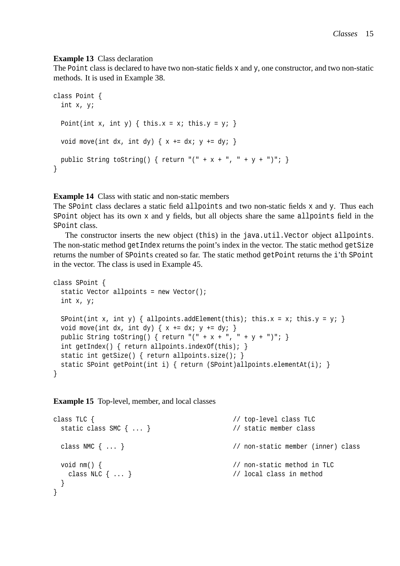#### **Example 13** Class declaration

The Point class is declared to have two non-static fields x and y, one constructor, and two non-static methods. It is used in Example 38.

```
class Point {
  int x, y;
  Point(int x, int y) { this.x = x; this.y = y; }
  void move(int dx, int dy) { x \rightarrow + dx; y \rightarrow - dy; }
  public String toString() { return "(" + x + ", " + y + ")"; }
}
```
### **Example 14** Class with static and non-static members

The SPoint class declares a static field allpoints and two non-static fields x and y. Thus each SPoint object has its own x and y fields, but all objects share the same allpoints field in the SPoint class.

The constructor inserts the new object (this) in the java.util.Vector object allpoints. The non-static method getIndex returns the point's index in the vector. The static method getSize returns the number of SPoints created so far. The static method getPoint returns the i'th SPoint in the vector. The class is used in Example 45.

```
class SPoint {
 static Vector allpoints = new Vector();
  int x, y;
 SPoint(int x, int y) { allpoints.addElement(this); this.x = x; this.y = y; }
 void move(int dx, int dy) { x \rightarrow + dx; y \rightarrow - dy; }
 public String toString() { return "(" + x + ", " + y + ")"; }
  int getIndex() { return allpoints.indexOf(this); }
  static int getSize() { return allpoints.size(); }
  static SPoint getPoint(int i) { return (SPoint)allpoints.elementAt(i); }
}
```
#### **Example 15** Top-level, member, and local classes

```
class TLC { // top-level class TLC
 static class SMC { ... } // static member class
 class NMC { ... } // non-static member (inner) class
 void nm() { \sqrt{2} // non-static method in TLC
  class NLC \{ \ldots \} // local class in method
 }
}
```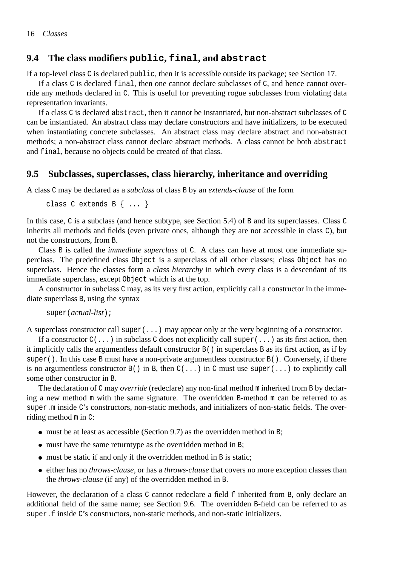## **9.4 The class modifiers public, final, and abstract**

If a top-level class C is declared public, then it is accessible outside its package; see Section 17.

If a class C is declared final, then one cannot declare subclasses of C, and hence cannot override any methods declared in C. This is useful for preventing rogue subclasses from violating data representation invariants.

If a class C is declared abstract, then it cannot be instantiated, but non-abstract subclasses of C can be instantiated. An abstract class may declare constructors and have initializers, to be executed when instantiating concrete subclasses. An abstract class may declare abstract and non-abstract methods; a non-abstract class cannot declare abstract methods. A class cannot be both abstract and final, because no objects could be created of that class.

## **9.5 Subclasses, superclasses, class hierarchy, inheritance and overriding**

A class C may be declared as a *subclass* of class B by an *extends-clause* of the form

```
class C extends B { ... }
```
In this case, C is a subclass (and hence subtype, see Section 5.4) of B and its superclasses. Class C inherits all methods and fields (even private ones, although they are not accessible in class C), but not the constructors, from B.

Class B is called the *immediate superclass* of C. A class can have at most one immediate superclass. The predefined class Object is a superclass of all other classes; class Object has no superclass. Hence the classes form a *class hierarchy* in which every class is a descendant of its immediate superclass, except Object which is at the top.

A constructor in subclass C may, as its very first action, explicitly call a constructor in the immediate superclass B, using the syntax

super(*actual-list*);

A superclass constructor call super $(\ldots)$  may appear only at the very beginning of a constructor.

If a constructor  $C(\ldots)$  in subclass C does not explicitly call super( $\ldots$ ) as its first action, then it implicitly calls the argumentless default constructor B() in superclass B as its first action, as if by super(). In this case B must have a non-private argumentless constructor  $B()$ . Conversely, if there is no argumentless constructor  $B()$  in B, then  $C(\ldots)$  in C must use super $(\ldots)$  to explicitly call some other constructor in B.

The declaration of C may *override* (redeclare) any non-final method m inherited from B by declaring a new method m with the same signature. The overridden B-method m can be referred to as super.m inside C's constructors, non-static methods, and initializers of non-static fields. The overriding method m in C:

- $\bullet$  must be at least as accessible (Section 9.7) as the overridden method in B:
- must have the same returntype as the overridden method in B;
- $\bullet$  must be static if and only if the overridden method in B is static;
- either has no *throws-clause*, or has a *throws-clause* that covers no more exception classes than the *throws-clause* (if any) of the overridden method in B.

However, the declaration of a class C cannot redeclare a field f inherited from B, only declare an additional field of the same name; see Section 9.6. The overridden B-field can be referred to as super.f inside C's constructors, non-static methods, and non-static initializers.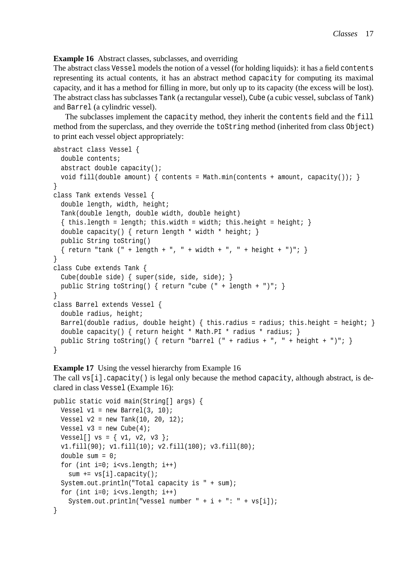**Example 16** Abstract classes, subclasses, and overriding

The abstract class Vessel models the notion of a vessel (for holding liquids): it has a field contents representing its actual contents, it has an abstract method capacity for computing its maximal capacity, and it has a method for filling in more, but only up to its capacity (the excess will be lost). The abstract class has subclasses Tank (a rectangular vessel), Cube (a cubic vessel, subclass of Tank) and Barrel (a cylindric vessel).

The subclasses implement the capacity method, they inherit the contents field and the fill method from the superclass, and they override the toString method (inherited from class Object) to print each vessel object appropriately:

```
abstract class Vessel {
 double contents;
 abstract double capacity();
 void fill(double amount) { contents = Math.min(contents + amount, capacity()); }
}
class Tank extends Vessel {
 double length, width, height;
 Tank(double length, double width, double height)
  { this.length = length; this.width = width; this.height = height; }
 double capacity() { return length * width * height; }
 public String toString()
  { return "tank (" + length + ", " + width + ", " + height + ")"; }
}
class Cube extends Tank {
 Cube(double side) { super(side, side, side); }
 public String toString() { return "cube (" + length + ")"; }
}
class Barrel extends Vessel {
 double radius, height;
 Barrel(double radius, double height) { this.radius = radius; this.height = height; }
 double capacity() { return height * Math.PI * radius * radius; }
 public String toString() { return "barrel (" + radius + ", " + height + ")"; }
}
```
#### **Example 17** Using the vessel hierarchy from Example 16

The call vs[i].capacity() is legal only because the method capacity, although abstract, is declared in class Vessel (Example 16):

```
public static void main(String[] args) {
 Vessel v1 = new Barrel(3, 10);
 Vessel v2 = new Tank(10, 20, 12);
 Vessel v3 = new Cube(4);Vessel[] vs = \{ v1, v2, v3 \};
 v1.fill(90); v1.fill(10); v2.fill(100); v3.fill(80);
 double sum = 0;
 for (int i=0; i<vs.length; i++)sum += vs[i].capacity();
 System.out.println("Total capacity is " + sum);
 for (int i=0; i<vs.length; i++)System.out.println("vessel number " + i + ": " + vs[i]);
}
```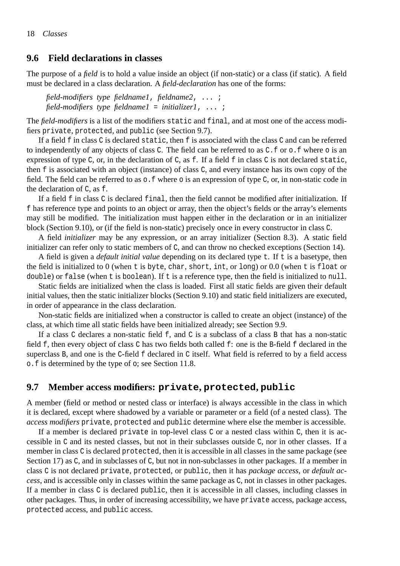# **9.6 Field declarations in classes**

The purpose of a *field* is to hold a value inside an object (if non-static) or a class (if static). A field must be declared in a class declaration. A *field-declaration* has one of the forms:

```
field-modifiers type fieldname1, fieldname2, ... ;
field-modifiers type fieldname1 = initializer1, ... ;
```
The *field-modifiers* is a list of the modifiers static and final, and at most one of the access modifiers private, protected, and public (see Section 9.7).

If a field f in class C is declared static, then f is associated with the class C and can be referred to independently of any objects of class C. The field can be referred to as C.f or o.f where o is an expression of type C, or, in the declaration of C, as f. If a field f in class C is not declared static, then f is associated with an object (instance) of class C, and every instance has its own copy of the field. The field can be referred to as  $\circ$ . f where  $\circ$  is an expression of type C, or, in non-static code in the declaration of C, as f.

If a field f in class C is declared final, then the field cannot be modified after initialization. If f has reference type and points to an object or array, then the object's fields or the array's elements may still be modified. The initialization must happen either in the declaration or in an initializer block (Section 9.10), or (if the field is non-static) precisely once in every constructor in class C.

A field *initializer* may be any expression, or an array initializer (Section 8.3). A static field initializer can refer only to static members of C, and can throw no checked exceptions (Section 14).

A field is given a *default initial value* depending on its declared type t. If t is a basetype, then the field is initialized to 0 (when t is byte, char, short, int, or long) or 0.0 (when t is float or double) or false (when t is boolean). If t is a reference type, then the field is initialized to null.

Static fields are initialized when the class is loaded. First all static fields are given their default initial values, then the static initializer blocks (Section 9.10) and static field initializers are executed, in order of appearance in the class declaration.

Non-static fields are initialized when a constructor is called to create an object (instance) of the class, at which time all static fields have been initialized already; see Section 9.9.

If a class C declares a non-static field f, and C is a subclass of a class B that has a non-static field f, then every object of class C has two fields both called f: one is the B-field f declared in the superclass B, and one is the C-field f declared in C itself. What field is referred to by a field access o.f is determined by the type of o; see Section 11.8.

# **9.7 Member access modifiers: private, protected, public**

A member (field or method or nested class or interface) is always accessible in the class in which it is declared, except where shadowed by a variable or parameter or a field (of a nested class). The *access modifiers* private, protected and public determine where else the member is accessible.

If a member is declared private in top-level class  $\mathcal C$  or a nested class within  $\mathcal C$ , then it is accessible in C and its nested classes, but not in their subclasses outside C, nor in other classes. If a member in class C is declared protected, then it is accessible in all classes in the same package (see Section 17) as C, and in subclasses of C, but not in non-subclasses in other packages. If a member in class C is not declared private, protected, or public, then it has *package access*, or *default access*, and is accessible only in classes within the same package as C, not in classes in other packages. If a member in class C is declared public, then it is accessible in all classes, including classes in other packages. Thus, in order of increasing accessibility, we have private access, package access, protected access, and public access.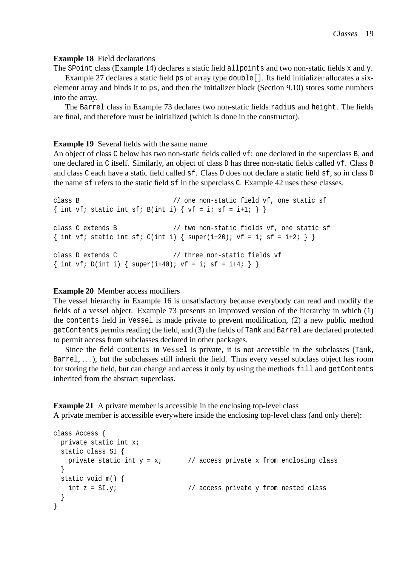#### **Example 18** Field declarations

The SPoint class (Example 14) declares a static field allpoints and two non-static fields x and y. Example 27 declares a static field ps of array type double[]. Its field initializer allocates a sixelement array and binds it to ps, and then the initializer block (Section 9.10) stores some numbers into the array.

The Barrel class in Example 73 declares two non-static fields radius and height. The fields are final, and therefore must be initialized (which is done in the constructor).

#### **Example 19** Several fields with the same name

An object of class C below has two non-static fields called  $\forall f$ : one declared in the superclass B, and one declared in C itself. Similarly, an object of class D has three non-static fields called vf. Class B and class C each have a static field called sf. Class D does not declare a static field sf, so in class D the name sf refers to the static field sf in the superclass C. Example 42 uses these classes.

```
class B // one non-static field vf, one static sf
{ int vf; static int sf; B(int i) { vf = i; sf = i+1; } }
class C extends B // two non-static fields vf, one static sf
{ int vf; static int sf; C(int i) { super(i+20); vf = i; sf = i+2; } }
class D extends C // three non-static fields vf
{ int vf; D(int i) { super(i+40); vf = i; sf = i+4; } }
```
#### **Example 20** Member access modifiers

The vessel hierarchy in Example 16 is unsatisfactory because everybody can read and modify the fields of a vessel object. Example 73 presents an improved version of the hierarchy in which (1) the contents field in Vessel is made private to prevent modification, (2) a new public method getContents permits reading the field, and (3) the fields of Tank and Barrel are declared protected to permit access from subclasses declared in other packages.

Since the field contents in Vessel is private, it is not accessible in the subclasses (Tank, Barrel, . . .), but the subclasses still inherit the field. Thus every vessel subclass object has room for storing the field, but can change and access it only by using the methods fill and getContents inherited from the abstract superclass.

**Example 21** A private member is accessible in the enclosing top-level class A private member is accessible everywhere inside the enclosing top-level class (and only there):

```
class Access {
 private static int x;
 static class SI {
   private static int y = x; // access private x from enclosing class
 }
 static void m() {
   int z = SI.y; // access private y from nested class
 }
}
```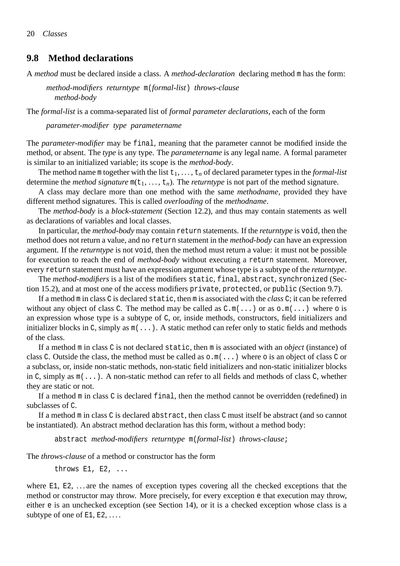## **9.8 Method declarations**

A *method* must be declared inside a class. A *method-declaration* declaring method m has the form:

*method-modifiers returntype* m(*formal-list*) *throws-clause method-body*

The *formal-list* is a comma-separated list of *formal parameter declarations*, each of the form

*parameter-modifier type parametername*

The *parameter-modifier* may be final, meaning that the parameter cannot be modified inside the method, or absent. The *type* is any type. The *parametername* is any legal name. A formal parameter is similar to an initialized variable; its scope is the *method-body*.

The method name m together with the list  $t_1, \ldots, t_n$  of declared parameter types in the *formal-list* determine the *method* signature  $m(t_1, \ldots, t_n)$ . The *returntype* is not part of the method signature.

A class may declare more than one method with the same *methodname*, provided they have different method signatures. This is called *overloading* of the *methodname*.

The *method-body* is a *block-statement* (Section 12.2), and thus may contain statements as well as declarations of variables and local classes.

In particular, the *method-body* may contain return statements. If the *returntype* is void, then the method does not return a value, and no return statement in the *method-body* can have an expression argument. If the *returntype* is not void, then the method must return a value: it must not be possible for execution to reach the end of *method-body* without executing a return statement. Moreover, every return statement must have an expression argument whose type is a subtype of the *returntype*.

The *method-modifiers* is a list of the modifiers static, final, abstract, synchronized (Section 15.2), and at most one of the access modifiers private, protected, or public (Section 9.7).

If a method m in class C is declared static, then m is associated with the *class* C; it can be referred without any object of class C. The method may be called as  $C.m(...)$  or as  $\circ.m(...)$  where  $\circ$  is an expression whose type is a subtype of C, or, inside methods, constructors, field initializers and initializer blocks in C, simply as  $m(\ldots)$ . A static method can refer only to static fields and methods of the class.

If a method m in class C is not declared static, then m is associated with an *object* (instance) of class C. Outside the class, the method must be called as  $\circ$ ,  $m(\ldots)$  where  $\circ$  is an object of class C or a subclass, or, inside non-static methods, non-static field initializers and non-static initializer blocks in C, simply as  $m(\ldots)$ . A non-static method can refer to all fields and methods of class C, whether they are static or not.

If a method  $m$  in class C is declared final, then the method cannot be overridden (redefined) in subclasses of C.

If a method m in class C is declared abstract, then class C must itself be abstract (and so cannot be instantiated). An abstract method declaration has this form, without a method body:

abstract *method-modifiers returntype* m(*formal-list*) *throws-clause*;

The *throws-clause* of a method or constructor has the form

throws  $E1, E2, ...$ 

where  $E1, E2, \ldots$  are the names of exception types covering all the checked exceptions that the method or constructor may throw. More precisely, for every exception e that execution may throw, either e is an unchecked exception (see Section 14), or it is a checked exception whose class is a subtype of one of  $E1, E2, \ldots$ .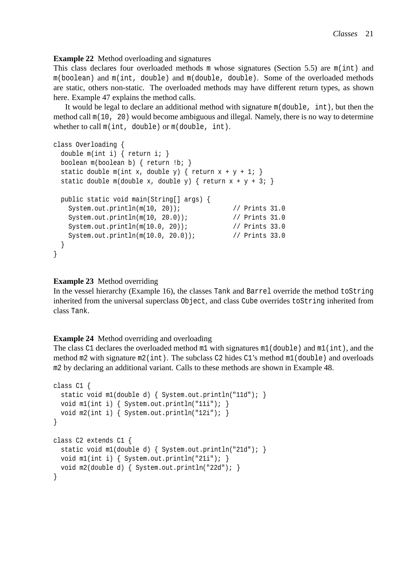### **Example 22** Method overloading and signatures

This class declares four overloaded methods m whose signatures (Section 5.5) are m(int) and m(boolean) and m(int, double) and m(double, double). Some of the overloaded methods are static, others non-static. The overloaded methods may have different return types, as shown here. Example 47 explains the method calls.

It would be legal to declare an additional method with signature m(double, int), but then the method call  $m(10, 20)$  would become ambiguous and illegal. Namely, there is no way to determine whether to call m(int, double) or m(double, int).

```
class Overloading {
 double m(int i) { return i; }
 boolean m(boolean b) { return !b; }
 static double m(int x, double y) { return x + y + 1; }
 static double m(double x, double y) { return x + y + 3; }
 public static void main(String[] args) {
   System.out.println(m(10, 20)); // Prints 31.0
   System.out.println(m(10, 20.0)); // Prints 31.0
   System.out.println(m(10.0, 20)); // Prints 33.0
   System.out.println(m(10.0, 20.0)); // Prints 33.0
 }
}
```
#### **Example 23** Method overriding

In the vessel hierarchy (Example 16), the classes Tank and Barrel override the method toString inherited from the universal superclass Object, and class Cube overrides toString inherited from class Tank.

#### **Example 24** Method overriding and overloading

The class C1 declares the overloaded method  $m_1$  with signatures  $m_1$  (double) and  $m_1$  (int), and the method m2 with signature m2(int). The subclass C2 hides C1's method m1(double) and overloads m2 by declaring an additional variant. Calls to these methods are shown in Example 48.

```
class C1 {
  static void m1(double d) { System.out.println("11d"); }
 void m1(int i) { System.out.println("11i"); }
 void m2(int i) { System.out.println("12i"); }
}
class C2 extends C1 {
  static void m1(double d) { System.out.println("21d"); }
 void m1(int i) { System.out.println("21i"); }
 void m2(double d) { System.out.println("22d"); }
}
```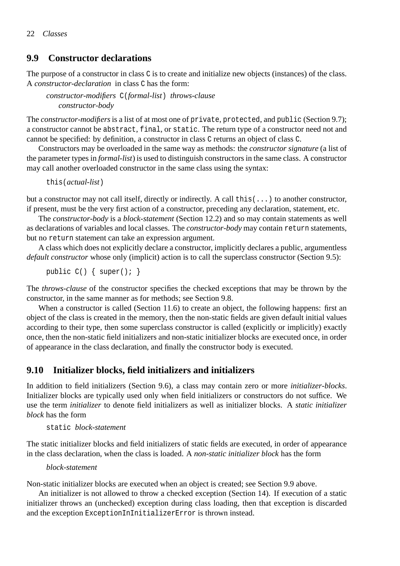# **9.9 Constructor declarations**

The purpose of a constructor in class C is to create and initialize new objects (instances) of the class. A *constructor-declaration* in class C has the form:

*constructor-modifiers* C(*formal-list*) *throws-clause constructor-body*

The *constructor-modifiers*is a list of at most one of private, protected, and public (Section 9.7); a constructor cannot be abstract, final, or static. The return type of a constructor need not and cannot be specified: by definition, a constructor in class C returns an object of class C.

Constructors may be overloaded in the same way as methods: the *constructor signature* (a list of the parameter types in *formal-list*) is used to distinguish constructors in the same class. A constructor may call another overloaded constructor in the same class using the syntax:

this(*actual-list*)

but a constructor may not call itself, directly or indirectly. A call this(...) to another constructor, if present, must be the very first action of a constructor, preceding any declaration, statement, etc.

The *constructor-body* is a *block-statement* (Section 12.2) and so may contain statements as well as declarations of variables and local classes. The *constructor-body* may contain return statements, but no return statement can take an expression argument.

A class which does not explicitly declare a constructor, implicitly declares a public, argumentless *default constructor* whose only (implicit) action is to call the superclass constructor (Section 9.5):

public  $C() \{ super() : }$ 

The *throws-clause* of the constructor specifies the checked exceptions that may be thrown by the constructor, in the same manner as for methods; see Section 9.8.

When a constructor is called (Section 11.6) to create an object, the following happens: first an object of the class is created in the memory, then the non-static fields are given default initial values according to their type, then some superclass constructor is called (explicitly or implicitly) exactly once, then the non-static field initializers and non-static initializer blocks are executed once, in order of appearance in the class declaration, and finally the constructor body is executed.

## **9.10 Initializer blocks, field initializers and initializers**

In addition to field initializers (Section 9.6), a class may contain zero or more *initializer-blocks*. Initializer blocks are typically used only when field initializers or constructors do not suffice. We use the term *initializer* to denote field initializers as well as initializer blocks. A *static initializer block* has the form

```
static block-statement
```
The static initializer blocks and field initializers of static fields are executed, in order of appearance in the class declaration, when the class is loaded. A *non-static initializer block* has the form

*block-statement*

Non-static initializer blocks are executed when an object is created; see Section 9.9 above.

An initializer is not allowed to throw a checked exception (Section 14). If execution of a static initializer throws an (unchecked) exception during class loading, then that exception is discarded and the exception ExceptionInInitializerError is thrown instead.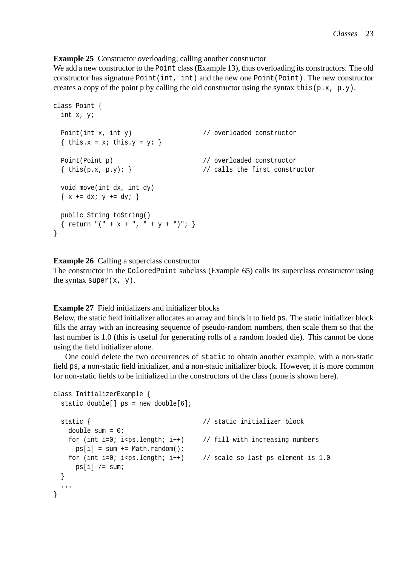### **Example 25** Constructor overloading; calling another constructor

We add a new constructor to the Point class (Example 13), thus overloading its constructors. The old constructor has signature Point(int, int) and the new one Point(Point). The new constructor creates a copy of the point p by calling the old constructor using the syntax this(p.x, p.y).

```
class Point {
 int x, y;
 Point(int x, int y) \frac{1}{2} // overloaded constructor
 { this.x = xi this.y = yi }
 Point(Point p) // overloaded constructor
 \{ this(p.x, p.y); \} // calls the first constructor
 void move(int dx, int dy)
 \{ x \div = dx; y \div = dy; \}public String toString()
 { return "(" + x + ", " + y + ")"; }
}
```
#### **Example 26** Calling a superclass constructor

The constructor in the ColoredPoint subclass (Example 65) calls its superclass constructor using the syntax super $(x, y)$ .

#### **Example** 27 Field initializers and initializer blocks

Below, the static field initializer allocates an array and binds it to field ps. The static initializer block fills the array with an increasing sequence of pseudo-random numbers, then scale them so that the last number is 1.0 (this is useful for generating rolls of a random loaded die). This cannot be done using the field initializer alone.

One could delete the two occurrences of static to obtain another example, with a non-static field ps, a non-static field initializer, and a non-static initializer block. However, it is more common for non-static fields to be initialized in the constructors of the class (none is shown here).

```
class InitializerExample {
 static double[] ps = new double[6];
 static { \left| \begin{array}{ccc} \end{array} \right| // static initializer block
   double sum = 0;
   for (int i=0; i<ps.length; i++) // fill with increasing numbers
      ps[i] = sum += Math.random();
   for (int i=0; i<ps.length; i++) // scale so last ps element is 1.0
     ps[i] /= sum;
 }
  ...
}
```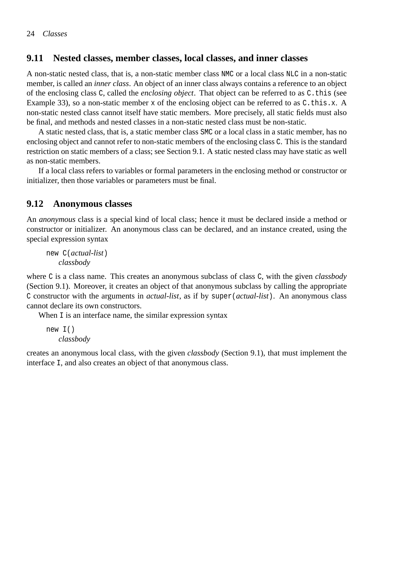## **9.11 Nested classes, member classes, local classes, and inner classes**

A non-static nested class, that is, a non-static member class NMC or a local class NLC in a non-static member, is called an *inner class*. An object of an inner class always contains a reference to an object of the enclosing class C, called the *enclosing object*. That object can be referred to as C.this (see Example 33), so a non-static member x of the enclosing object can be referred to as  $C$ .this.x. A non-static nested class cannot itself have static members. More precisely, all static fields must also be final, and methods and nested classes in a non-static nested class must be non-static.

A static nested class, that is, a static member class SMC or a local class in a static member, has no enclosing object and cannot refer to non-static members of the enclosing class C. This is the standard restriction on static members of a class; see Section 9.1. A static nested class may have static as well as non-static members.

If a local class refers to variables or formal parameters in the enclosing method or constructor or initializer, then those variables or parameters must be final.

## **9.12 Anonymous classes**

An *anonymous* class is a special kind of local class; hence it must be declared inside a method or constructor or initializer. An anonymous class can be declared, and an instance created, using the special expression syntax

new C(*actual-list*) *classbody*

where C is a class name. This creates an anonymous subclass of class C, with the given *classbody* (Section 9.1). Moreover, it creates an object of that anonymous subclass by calling the appropriate C constructor with the arguments in *actual-list*, as if by super(*actual-list*). An anonymous class cannot declare its own constructors.

When I is an interface name, the similar expression syntax

new I() *classbody*

creates an anonymous local class, with the given *classbody* (Section 9.1), that must implement the interface I, and also creates an object of that anonymous class.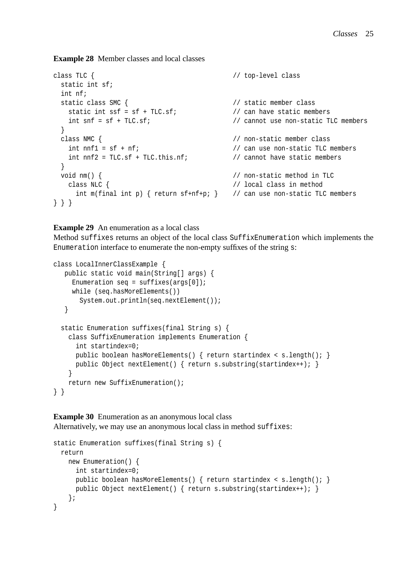**Example 28** Member classes and local classes

```
class TLC { // top-level class
 static int sf;
 int nf;
 static class SMC { // static member class
   static int ssf = sf + TLC.sf; \frac{1}{2} // can have static members
   int snf = sf + TLC.sf; \frac{1}{2} // cannot use non-static TLC members
 }
 class NMC { // non-static member class
   \int \int \tan \theta \cos \theta \, d\theta and \int \tan \theta \cos \theta \, d\theta can use non-static TLC members
   int nnf2 = TLC.sf + TLC.this.nf; // cannot have static members
 }
 void nm() { \qquad // non-static method in TLC
   class NLC { // local class in method
     int m(final int p) { return sf+nf+p; } // can use non-static TLC members
} } }
```
### **Example 29** An enumeration as a local class

Method suffixes returns an object of the local class SuffixEnumeration which implements the Enumeration interface to enumerate the non-empty suffixes of the string s:

```
class LocalInnerClassExample {
  public static void main(String[] args) {
     Enumeration seq = \text{suffixes}(\text{args}[0]));
    while (seq.hasMoreElements())
       System.out.println(seq.nextElement());
  }
 static Enumeration suffixes(final String s) {
   class SuffixEnumeration implements Enumeration {
      int startindex=0;
     public boolean hasMoreElements() { return startindex < s.length(); }
      public Object nextElement() { return s.substring(startindex++); }
    }
   return new SuffixEnumeration();
} }
```
**Example 30** Enumeration as an anonymous local class Alternatively, we may use an anonymous local class in method suffixes:

```
static Enumeration suffixes(final String s) {
 return
   new Enumeration() {
     int startindex=0;
     public boolean hasMoreElements() { return startindex < s.length(); }
     public Object nextElement() { return s.substring(startindex++); }
   };
}
```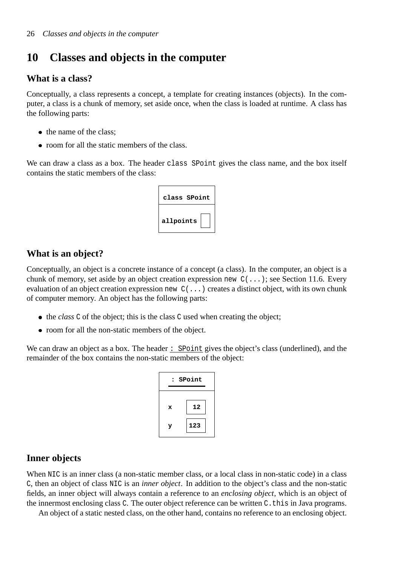# **10 Classes and objects in the computer**

## **What is a class?**

Conceptually, a class represents a concept, a template for creating instances (objects). In the computer, a class is a chunk of memory, set aside once, when the class is loaded at runtime. A class has the following parts:

- the name of the class;
- room for all the static members of the class.

We can draw a class as a box. The header class SPoint gives the class name, and the box itself contains the static members of the class:



# **What is an object?**

Conceptually, an object is a concrete instance of a concept (a class). In the computer, an object is a chunk of memory, set aside by an object creation expression new  $C(\ldots)$ ; see Section 11.6. Every evaluation of an object creation expression new  $C(\ldots)$  creates a distinct object, with its own chunk of computer memory. An object has the following parts:

- the *class* C of the object; this is the class C used when creating the object;
- room for all the non-static members of the object.

We can draw an object as a box. The header : Spoint gives the object's class (underlined), and the remainder of the box contains the non-static members of the object:



# **Inner objects**

When NIC is an inner class (a non-static member class, or a local class in non-static code) in a class C, then an object of class NIC is an *inner object*. In addition to the object's class and the non-static fields, an inner object will always contain a reference to an *enclosing object*, which is an object of the innermost enclosing class C. The outer object reference can be written C.this in Java programs.

An object of a static nested class, on the other hand, contains no reference to an enclosing object.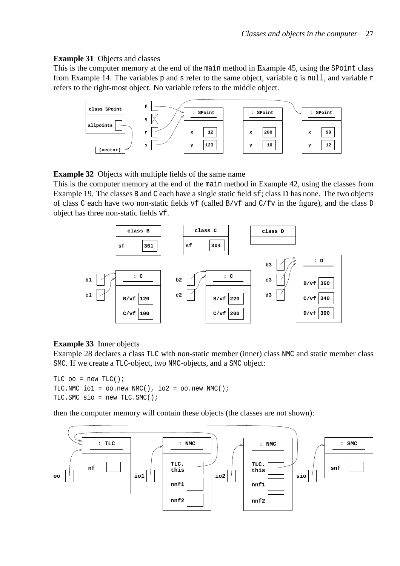#### **Example 31** Objects and classes

This is the computer memory at the end of the main method in Example 45, using the SPoint class from Example 14. The variables p and s refer to the same object, variable  $q$  is null, and variable  $r$ refers to the right-most object. No variable refers to the middle object.



### **Example 32** Objects with multiple fields of the same name

This is the computer memory at the end of the main method in Example 42, using the classes from Example 19. The classes B and C each have a single static field  $sf$ ; class D has none. The two objects of class C each have two non-static fields vf (called B/vf and C/fv in the figure), and the class D object has three non-static fields vf.



### **Example 33** Inner objects

Example 28 declares a class TLC with non-static member (inner) class NMC and static member class SMC. If we create a TLC-object, two NMC-objects, and a SMC object:

```
TLC oo = new TLC();
TLC.NMC io1 = 00.new NMC(), io2 = 00.new NMC();
TLC.SMC sio = new TLC.SMC();
```
then the computer memory will contain these objects (the classes are not shown):

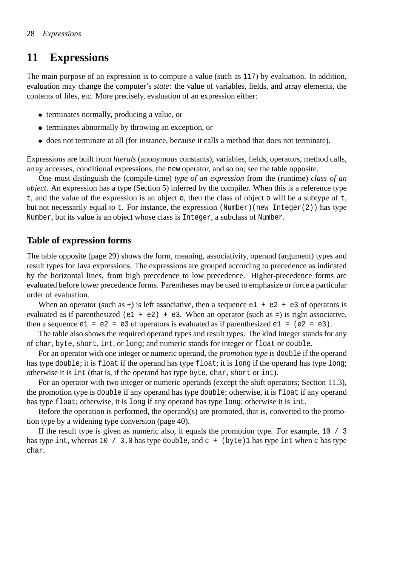# **11 Expressions**

The main purpose of an expression is to compute a value (such as 117) by evaluation. In addition, evaluation may change the computer's *state*: the value of variables, fields, and array elements, the contents of files, etc. More precisely, evaluation of an expression either:

- terminates normally, producing a value, or
- terminates abnormally by throwing an exception, or
- does not terminate at all (for instance, because it calls a method that does not terminate).

Expressions are built from *literals* (anonymous constants), variables, fields, operators, method calls, array accesses, conditional expressions, the new operator, and so on; see the table opposite.

One must distinguish the (compile-time) *type of an expression* from the (runtime) *class of an object*. An expression has a type (Section 5) inferred by the compiler. When this is a reference type t, and the value of the expression is an object o, then the class of object o will be a subtype of t, but not necessarily equal to t. For instance, the expression (Number) (new Integer(2)) has type Number, but its value is an object whose class is Integer, a subclass of Number.

# **Table of expression forms**

The table opposite (page 29) shows the form, meaning, associativity, operand (argument) types and result types for Java expressions. The expressions are grouped according to precedence as indicated by the horizontal lines, from high precedence to low precedence. Higher-precedence forms are evaluated before lower precedence forms. Parentheses may be used to emphasize or force a particular order of evaluation.

When an operator (such as +) is left associative, then a sequence  $e1 + e2 + e3$  of operators is evaluated as if parenthesized (e1 + e2) + e3. When an operator (such as =) is right associative, then a sequence  $e1 = e2 = e3$  of operators is evaluated as if parenthesized  $e1 = (e2 = e3)$ .

The table also shows the required operand types and result types. The kind integer stands for any of char, byte, short, int, or long; and numeric stands for integer or float or double.

For an operator with one integer or numeric operand, the *promotion type* is double if the operand has type double; it is float if the operand has type float; it is long if the operand has type long; otherwise it is int (that is, if the operand has type byte, char, short or int).

For an operator with two integer or numeric operands (except the shift operators; Section 11.3), the promotion type is double if any operand has type double; otherwise, it is float if any operand has type float; otherwise, it is long if any operand has type long; otherwise it is int.

Before the operation is performed, the operand(s) are promoted, that is, converted to the promotion type by a widening type conversion (page 40).

If the result type is given as numeric also, it equals the promotion type. For example, 10 / 3 has type int, whereas 10 / 3.0 has type double, and  $c + (byte)1$  has type int when c has type char.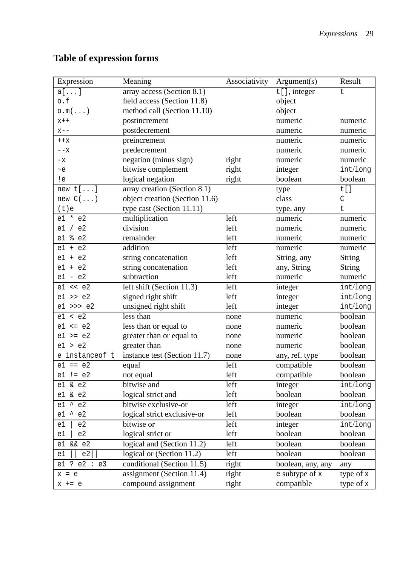| Expression                        | Meaning                        | Associativity | Argument(s)       | Result        |
|-----------------------------------|--------------------------------|---------------|-------------------|---------------|
| a[]                               | array access (Section 8.1)     |               | t[], integer      | $\mathsf{t}$  |
| o.f                               | field access (Section 11.8)    |               | object            |               |
| $0.m($ $)$                        | method call (Section 11.10)    |               | object            |               |
| $X++$                             | postincrement                  |               | numeric           | numeric       |
| $X - -$                           | postdecrement                  |               | numeric           | numeric       |
| $++x$                             | preincrement                   |               | numeric           | numeric       |
| $- - \mathrm{X}$                  | predecrement                   |               | numeric           | numeric       |
| $-x$                              | negation (minus sign)          | right         | numeric           | numeric       |
| $\sim e$                          | bitwise complement             | right         | integer           | int/long      |
| !e                                | logical negation               | right         | boolean           | boolean       |
| new $t[]$                         | array creation (Section 8.1)   |               | type              | $t$ []        |
| new $C(\ldots)$                   | object creation (Section 11.6) |               | class             | $\rm C$       |
| $(t)$ e                           | type cast (Section 11.11)      |               | type, any         | $\mathsf{t}$  |
| $e1 * e2$                         | multiplication                 | left          | numeric           | numeric       |
| e1 / e2                           | division                       | left          | numeric           | numeric       |
| e1 % e2                           | remainder                      | left          | numeric           | numeric       |
| $e1 + e2$                         | addition                       | left          | numeric           | numeric       |
| $e1 + e2$                         | string concatenation           | left          | String, any       | <b>String</b> |
| $e1 + e2$                         | string concatenation           | left          | any, String       | <b>String</b> |
| $e1 - e2$                         | subtraction                    | left          | numeric           | numeric       |
| $e1 \lt\epsilon e2$               | left shift (Section 11.3)      | left          | integer           | int/long      |
| $e1 \gg e2$                       | signed right shift             | left          | integer           | int/long      |
| e1 >>> e2                         | unsigned right shift           | left          | integer           | int/long      |
| e1 < e2                           | less than                      | none          | numeric           | boolean       |
| $e1 \leq e2$                      | less than or equal to          | none          | numeric           | boolean       |
| $e1$ >= $e2$                      | greater than or equal to       | none          | numeric           | boolean       |
| e1 > e2                           | greater than                   | none          | numeric           | boolean       |
| e instanceof t                    | instance test (Section 11.7)   | none          | any, ref. type    | boolean       |
| $e1 == e2$                        | equal                          | left          | compatible        | boolean       |
| $e1 := e2$                        | not equal                      | left          | compatible        | boolean       |
| $e1 \& e2$                        | bitwise and                    | left          | integer           | int/long      |
| $e1$ & $e2$                       | logical strict and             | left          | boolean           | boolean       |
| $\boldsymbol{\wedge}$<br>e1<br>e2 | bitwise exclusive-or           | left          | integer           | int/long      |
| $e1$ $\sim$<br>e2                 | logical strict exclusive-or    | left          | boolean           | boolean       |
| e2<br>e1                          | bitwise or                     | left          | integer           | int/long      |
| e1<br>e2                          | logical strict or              | left          | boolean           | boolean       |
| e1 && e2                          | logical and (Section 11.2)     | left          | boolean           | boolean       |
| e2<br>e1                          | logical or (Section 11.2)      | left          | boolean           | boolean       |
| $e1$ ? $e2 : e3$                  | conditional (Section 11.5)     | right         | boolean, any, any | any           |
| $x = e$                           | assignment (Section 11.4)      | right         | e subtype of x    | type of x     |
| $x \neq 0$                        | compound assignment            | right         | compatible        | type of x     |

# **Table of expression forms**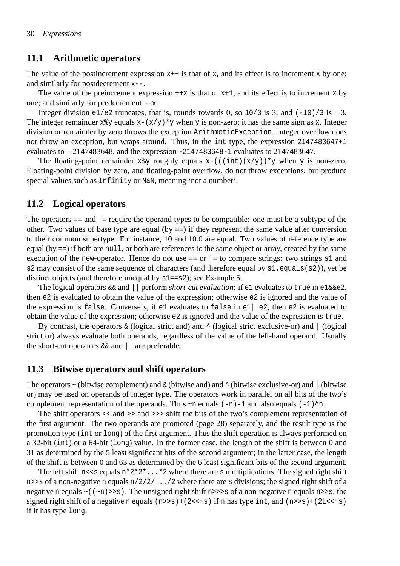## **11.1 Arithmetic operators**

The value of the postincrement expression  $x++$  is that of x, and its effect is to increment x by one; and similarly for postdecrement x--.

The value of the preincrement expression  $+x$  is that of  $x+1$ , and its effect is to increment x by one; and similarly for predecrement --x.

Integer division e1/e2 truncates, that is, rounds towards 0, so  $10/3$  is 3, and  $(-10)/3$  is  $-3$ . The integer remainder x%y equals  $x-(x/y)$ \*y when y is non-zero; it has the same sign as x. Integer division or remainder by zero throws the exception ArithmeticException. Integer overflow does not throw an exception, but wraps around. Thus, in the int type, the expression 2147483647+1 evaluates to  $-2147483648$ , and the expression  $-2147483648$ -1 evaluates to  $2147483647$ .

The floating-point remainder x%y roughly equals  $x-$ (((int)( $x/y$ ))\*y when y is non-zero. Floating-point division by zero, and floating-point overflow, do not throw exceptions, but produce special values such as Infinity or NaN, meaning 'not a number'.

### **11.2 Logical operators**

The operators == and != require the operand types to be compatible: one must be a subtype of the other. Two values of base type are equal (by  $=$ ) if they represent the same value after conversion to their common supertype. For instance, 10 and 10.0 are equal. Two values of reference type are equal (by ==) if both are null, or both are references to the same object or array, created by the same execution of the new-operator. Hence do not use == or != to compare strings: two strings  $s1$  and s2 may consist of the same sequence of characters (and therefore equal by s1.equals(s2)), yet be distinct objects (and therefore unequal by s1==s2); see Example 5.

The logical operators && and || perform *short-cut evaluation*: if e1 evaluates to true in e1&&e2, then e2 is evaluated to obtain the value of the expression; otherwise e2 is ignored and the value of the expression is false. Conversely, if elevaluates to false in elle $|e2|$ , then e2 is evaluated to obtain the value of the expression; otherwise e2 is ignored and the value of the expression is true.

By contrast, the operators  $\&$  (logical strict and) and  $\wedge$  (logical strict exclusive-or) and | (logical strict or) always evaluate both operands, regardless of the value of the left-hand operand. Usually the short-cut operators  $\&\&$  and  $||$  are preferable.

## **11.3 Bitwise operators and shift operators**

The operators  $\sim$  (bitwise complement) and  $\&$  (bitwise and) and  $\wedge$  (bitwise exclusive-or) and | (bitwise or) may be used on operands of integer type. The operators work in parallel on all bits of the two's complement representation of the operands. Thus  $\sim$ n equals (-n)-1 and also equals (-1) $\sim$ n.

The shift operators << and >> and >>> shift the bits of the two's complement representation of the first argument. The two operands are promoted (page 28) separately, and the result type is the promotion type (int or long) of the first argument. Thus the shift operation is always performed on a 32-bit (int) or a 64-bit (long) value. In the former case, the length of the shift is between 0 and 31 as determined by the 5 least significant bits of the second argument; in the latter case, the length of the shift is between 0 and 63 as determined by the 6 least significant bits of the second argument.

The left shift n<<s equals  $n \times 2 \times 2 \times ... \times 2$  where there are s multiplications. The signed right shift n>>s of a non-negative n equals  $n/2/2/...$  /2 where there are s divisions; the signed right shift of a negative n equals  $\sim$  (( $\sim$ n)>>s). The unsigned right shift n>>>s of a non-negative n equals n>>s; the signed right shift of a negative n equals  $(n>>s)+(2<<~s)$  if n has type int, and  $(n>>s)+(2<~s)$ if it has type long.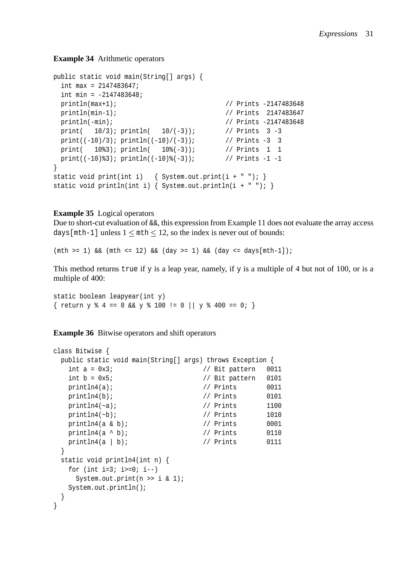#### **Example 34** Arithmetic operators

```
public static void main(String[] args) {
 int max = 2147483647;
 int min = -2147483648;
 println(max+1); // Prints -2147483648
 println(min-1); // Prints 2147483647
 println(-min); // Prints -2147483648
 print( 10/3); println( 10/(-3)); // Prints 3 -3
 print((-10)/3); println((-10)/(-3)); // Prints -3 3
 print( 10%3); println( 10%(-3)); // Prints 1 1
 print((-10)%3); println((-10)%(-3)); // Prints -1 -1
}
static void print(int i) { System.out.print(i + " "); }
static void println(int i) { System.out.println(i + " "); }
```
### **Example 35** Logical operators

Due to short-cut evaluation of  $\&\&$ , this expression from Example 11 does not evaluate the array access days[mth-1] unless  $1 \leq m$ th  $12$ , so the index is never out of bounds:

 $(\text{mth} > = 1)$  &  $(\text{mth} < = 12)$  &  $(\text{day} > = 1)$  &  $(\text{day} < = \text{days}[\text{mth-1}])$ ;

This method returns true if y is a leap year, namely, if y is a multiple of 4 but not of 100, or is a multiple of 400:

static boolean leapyear(int y)  $\{$  return  $y \; * \; 4 == 0$  &  $x \; * \; 100 := 0$  ||  $y \; * \; 400 == 0;$  }

**Example 36** Bitwise operators and shift operators

```
class Bitwise {
 public static void main(String[] args) throws Exception {
  int a = 0x3; \frac{1}{2} // Bit pattern 0011
  int b = 0x5; // Bit pattern 0101println4(a); // Prints 0011
  println4(b); // Prints 0101
  println4(~a); // Prints 1100
  println4(~b); // Prints 1010
  println4(a & b); // Prints 0001
  println4(a ^ b); // Prints 0110
  println4(a | b); // Prints 0111
 }
 static void println4(int n) {
  for (int i=3; i>=0; i--)
    System.out.print(n \gg i \approx 1);
  System.out.println();
 }
}
```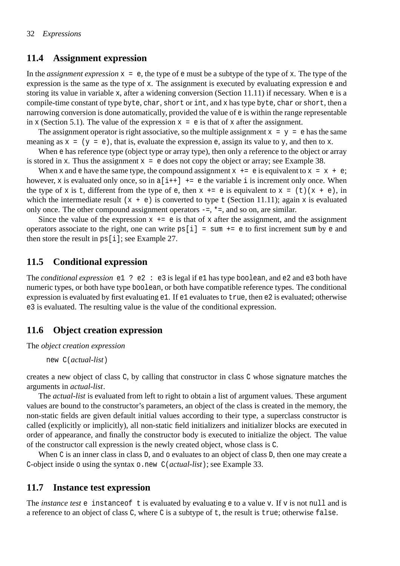## **11.4 Assignment expression**

In the *assignment expression* x = e, the type of e must be a subtype of the type of x. The type of the expression is the same as the type of x. The assignment is executed by evaluating expression e and storing its value in variable x, after a widening conversion (Section 11.11) if necessary. When e is a compile-time constant of type byte, char, short or int, and x has type byte, char or short, then a narrowing conversion is done automatically, provided the value of e is within the range representable in x (Section 5.1). The value of the expression  $x = e$  is that of x after the assignment.

The assignment operator is right associative, so the multiple assignment  $x = y = e$  has the same meaning as  $x = (y = e)$ , that is, evaluate the expression e, assign its value to y, and then to x.

When e has reference type (object type or array type), then only a reference to the object or array is stored in x. Thus the assignment  $x = e$  does not copy the object or array; see Example 38.

When x and e have the same type, the compound assignment  $x \rightarrow -e$  is equivalent to  $x = x + e$ ; however, x is evaluated only once, so in  $a[i+1]$  += e the variable i is increment only once. When the type of x is t, different from the type of e, then  $x \rightarrow e$  is equivalent to  $x = (t)(x + e)$ , in which the intermediate result  $(x + e)$  is converted to type t (Section 11.11); again x is evaluated only once. The other compound assignment operators  $-\pi$ ,  $\pi$ , and so on, are similar.

Since the value of the expression  $x \rightarrow -e$  is that of x after the assignment, and the assignment operators associate to the right, one can write  $ps[i] = sum += e$  to first increment sum by e and then store the result in ps[i]; see Example 27.

### **11.5 Conditional expression**

The *conditional expression* e1 ? e2 : e3 is legal if e1 has type boolean, and e2 and e3 both have numeric types, or both have type boolean, or both have compatible reference types. The conditional expression is evaluated by first evaluating e1. If e1 evaluates to true, then e2 is evaluated; otherwise e3 is evaluated. The resulting value is the value of the conditional expression.

## **11.6 Object creation expression**

The *object creation expression*

new C(*actual-list*)

creates a new object of class C, by calling that constructor in class C whose signature matches the arguments in *actual-list*.

The *actual-list* is evaluated from left to right to obtain a list of argument values. These argument values are bound to the constructor's parameters, an object of the class is created in the memory, the non-static fields are given default initial values according to their type, a superclass constructor is called (explicitly or implicitly), all non-static field initializers and initializer blocks are executed in order of appearance, and finally the constructor body is executed to initialize the object. The value of the constructor call expression is the newly created object, whose class is C.

When C is an inner class in class D, and  $\circ$  evaluates to an object of class D, then one may create a C-object inside o using the syntax o.new C(*actual-list*); see Example 33.

### **11.7 Instance test expression**

The *instance test* e instance of t is evaluated by evaluating e to a value v. If v is not null and is a reference to an object of class C, where C is a subtype of t, the result is true; otherwise false.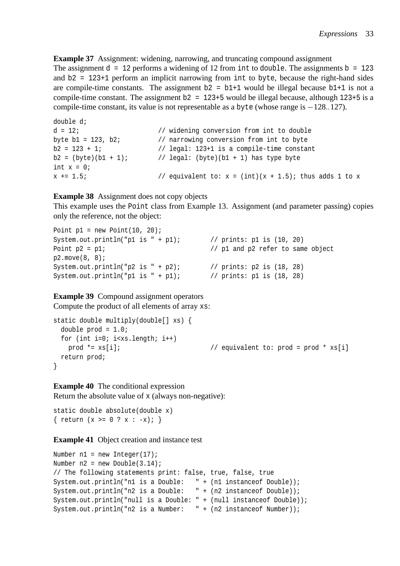**Example** 37 Assignment: widening, narrowing, and truncating compound assignment The assignment  $d = 12$  performs a widening of 12 from int to double. The assignments  $b = 123$ and b2 = 123+1 perform an implicit narrowing from int to byte, because the right-hand sides are compile-time constants. The assignment  $b2 = b1+1$  would be illegal because  $b1+1$  is not a compile-time constant. The assignment  $b2 = 123+5$  would be illegal because, although 123+5 is a compile-time constant, its value is not representable as a byte (whose range is  $-128.127$ ).

```
double d;
d = 12; \frac{d}{dx} // widening conversion from int to double
byte b1 = 123, b2; // narrowing conversion from int to byte
b2 = 123 + 1; // legal: 123+1 is a compile-time constant
b2 = (byte)(b1 + 1); // legal: (byte)(b1 + 1) has type byte
int x = 0;
x += 1.5; \frac{1}{x} + \frac{1}{x} // equivalent to: x = \frac{1}{x} (int)(x + 1.5); thus adds 1 to x
```
#### **Example 38** Assignment does not copy objects

This example uses the Point class from Example 13. Assignment (and parameter passing) copies only the reference, not the object:

```
Point p1 = new Point(10, 20);
System.out.println("p1 is " + p1); // prints: p1 is (10, 20)
Point p2 = p1; \frac{p}{p} and p2 refer to same object
p2.move(8, 8);
System.out.println("p2 is " + p2); // prints: p2 is (18, 28)System.out.println("p1 is " + p1); // prints: p1 is (18, 28)
```
**Example 39** Compound assignment operators

Compute the product of all elements of array xs:

```
static double multiply(double[] xs) {
 double prod = 1.0;
 for (int i=0; i < x s.length; i++)prod *= xs[i]; \qquad // equivalent to: prod = prod * xs[i]
 return prod;
}
```
## **Example 40** The conditional expression

Return the absolute value of x (always non-negative):

```
static double absolute(double x)
{ return (x \ge 0 ? x : -x); }
```
**Example 41** Object creation and instance test

```
Number n1 = new Integer(17);
Number n2 = new Double(3.14);// The following statements print: false, true, false, true
System.out.println("n1 is a Double: " + (n1 instanceof Double));
System.out.println("n2 is a Double: " + (n2 instanceof Double));
System.out.println("null is a Double: " + (null instanceof Double));
System.out.println("n2 is a Number: " + (n2 instanceof Number));
```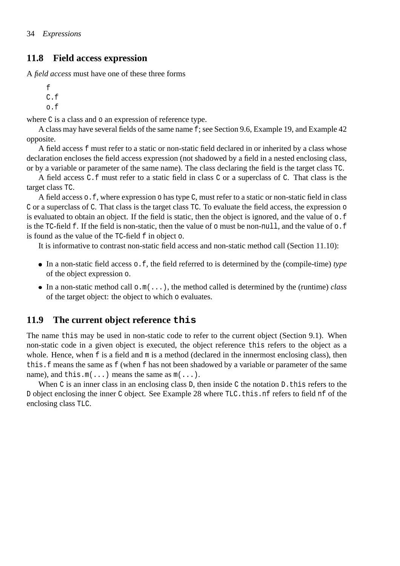## **11.8 Field access expression**

A *field access* must have one of these three forms

```
f
C.f
o.f
```
where C is a class and o an expression of reference type.

A class may have several fields of the same name f; see Section 9.6, Example 19, and Example 42 opposite.

A field access f must refer to a static or non-static field declared in or inherited by a class whose declaration encloses the field access expression (not shadowed by a field in a nested enclosing class, or by a variable or parameter of the same name). The class declaring the field is the target class TC.

A field access C.f must refer to a static field in class C or a superclass of C. That class is the target class TC.

A field access o.f, where expression o has type C, must refer to a static or non-static field in class C or a superclass of C. That class is the target class TC. To evaluate the field access, the expression o is evaluated to obtain an object. If the field is static, then the object is ignored, and the value of  $\circ$ . f is the TC-field f. If the field is non-static, then the value of  $\circ$  must be non-null, and the value of  $\circ$ . is found as the value of the TC-field f in object o.

It is informative to contrast non-static field access and non-static method call (Section 11.10):

- In a non-static field access o.f, the field referred to is determined by the (compile-time) *type* of the object expression o.
- In a non-static method call  $\circ$ .m( $\dots$ ), the method called is determined by the (runtime) *class* of the target object: the object to which o evaluates.

## **11.9 The current object reference this**

The name this may be used in non-static code to refer to the current object (Section 9.1). When non-static code in a given object is executed, the object reference this refers to the object as a whole. Hence, when f is a field and m is a method (declared in the innermost enclosing class), then this.f means the same as f (when f has not been shadowed by a variable or parameter of the same name), and this.m( $\dots$ ) means the same as  $m(\dots)$ .

When C is an inner class in an enclosing class D, then inside C the notation D. this refers to the D object enclosing the inner C object. See Example 28 where TLC.this.nf refers to field nf of the enclosing class TLC.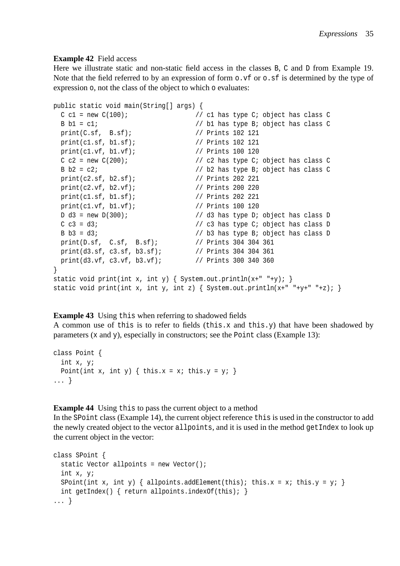#### **Example 42** Field access

Here we illustrate static and non-static field access in the classes B, C and D from Example 19. Note that the field referred to by an expression of form  $\circ \cdot$  vf or  $\circ \cdot$  sf is determined by the type of expression o, not the class of the object to which o evaluates:

```
public static void main(String[] args) {
 C c1 = new C(100); // c1 has type C; object has class CB b1 = c1; // b1 has type B; object has class C
 print(C.sf, B.sf); // Prints 102 121
 print(c1.sf, b1.sf); // Prints 102 121
 print(c1.vf, b1.vf); // Prints 100 120
 C C 2 = new C(200); // c2 has type C; object has class C
 B b2 = c2;<br>
// b2 has type B; object has class C
 print(c2.sf, b2.sf); // Prints 202 221
 print(c2.vf, b2.vf); // Prints 200 220
 print(c1.sf, b1.sf); // Prints 202 221
 print(c1.vf, b1.vf); // Prints 100 120
 D d3 = new D(300); \frac{1}{8} // d3 has type D; object has class D
 C c3 = d3; C d3 has type C; object has class D
 B b3 = d3; // b3 has type B; object has class D
 print(D.sf, C.sf, B.sf); // Prints 304 304 361
 print(d3.sf, c3.sf, b3.sf); // Prints 304 304 361
 print(d3.vf, c3.vf, b3.vf); // Prints 300 340 360
}
static void print(int x, int y) { System.out.println(x+" "+y); }
static void print(int x, int y, int z) { System.out.println(x++ "+y+ "+z);}
```
#### **Example 43** Using this when referring to shadowed fields

A common use of this is to refer to fields (this.x and this.y) that have been shadowed by parameters  $(x \text{ and } y)$ , especially in constructors; see the Point class (Example 13):

```
class Point {
 int x, y;
 Point(int x, int y) { this.x = x; this.y = y; }
... }
```
### **Example 44** Using this to pass the current object to a method

In the SPoint class (Example 14), the current object reference this is used in the constructor to add the newly created object to the vector allpoints, and it is used in the method getIndex to look up the current object in the vector:

```
class SPoint {
 static Vector allpoints = new Vector();
 int x, y;
 SPoint(int x, int y) { allpoints.addElement(this); this.x = x; this.y = y; }
  int getIndex() { return allpoints.indexOf(this); }
... }
```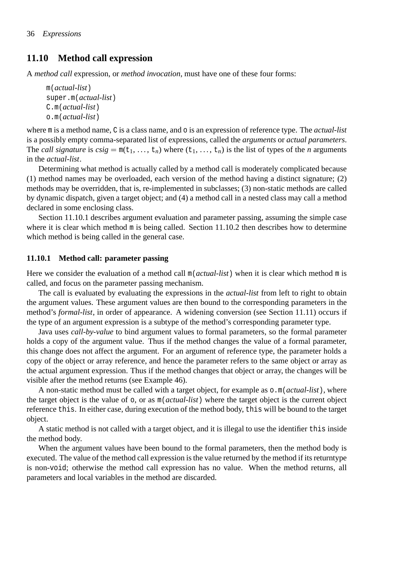## **11.10 Method call expression**

A *method call* expression, or *method invocation*, must have one of these four forms:

```
m(actual-list)
super.m(actual-list)
C.m(actual-list)
o.m(actual-list)
```
where m is a method name, C is a class name, and o is an expression of reference type. The *actual-list* is a possibly empty comma-separated list of expressions, called the *arguments* or *actual parameters*. The *call* signature is  $csig = m(t_1, ..., t_n)$  where  $(t_1, ..., t_n)$  is the list of types of the *n* arguments in the *actual-list*.

Determining what method is actually called by a method call is moderately complicated because (1) method names may be overloaded, each version of the method having a distinct signature; (2) methods may be overridden, that is, re-implemented in subclasses; (3) non-static methods are called by dynamic dispatch, given a target object; and (4) a method call in a nested class may call a method declared in some enclosing class.

Section 11.10.1 describes argument evaluation and parameter passing, assuming the simple case where it is clear which method m is being called. Section 11.10.2 then describes how to determine which method is being called in the general case.

#### **11.10.1 Method call: parameter passing**

Here we consider the evaluation of a method call  $m(\text{actual-list})$  when it is clear which method m is called, and focus on the parameter passing mechanism.

The call is evaluated by evaluating the expressions in the *actual-list* from left to right to obtain the argument values. These argument values are then bound to the corresponding parameters in the method's *formal-list*, in order of appearance. A widening conversion (see Section 11.11) occurs if the type of an argument expression is a subtype of the method's corresponding parameter type.

Java uses *call-by-value* to bind argument values to formal parameters, so the formal parameter holds a copy of the argument value. Thus if the method changes the value of a formal parameter, this change does not affect the argument. For an argument of reference type, the parameter holds a copy of the object or array reference, and hence the parameter refers to the same object or array as the actual argument expression. Thus if the method changes that object or array, the changes will be visible after the method returns (see Example 46).

A non-static method must be called with a target object, for example as o.m(*actual-list*), where the target object is the value of o, or as m(*actual-list*) where the target object is the current object reference this. In either case, during execution of the method body, this will be bound to the target object.

A static method is not called with a target object, and it is illegal to use the identifier this inside the method body.

When the argument values have been bound to the formal parameters, then the method body is executed. The value of the method call expression is the value returned by the method if its returntype is non-void; otherwise the method call expression has no value. When the method returns, all parameters and local variables in the method are discarded.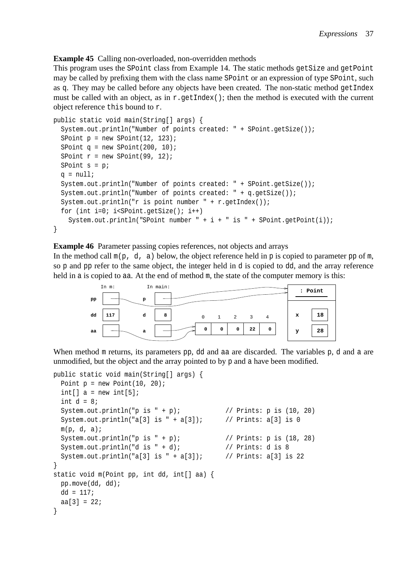### **Example 45** Calling non-overloaded, non-overridden methods

This program uses the SPoint class from Example 14. The static methods getSize and getPoint may be called by prefixing them with the class name SPoint or an expression of type SPoint, such as q. They may be called before any objects have been created. The non-static method getIndex must be called with an object, as in  $r$ ,  $q$ etIndex(); then the method is executed with the current object reference this bound to r.

```
public static void main(String[] args) {
  System.out.println("Number of points created: " + SPoint.getSize());
  SPoint p = new SPoint(12, 123);
  SPoint q = new Spoint(200, 10);SPoint r = new SPoint(99, 12);
 SPoint s = p;
 q = null;
  System.out.println("Number of points created: " + SPoint.getSize());
 System.out.println("Number of points created: " + q.getSize());
  System.out.println("r is point number " + r.getIndex());
  for (int i=0; i<SPoint.getSize(); i++)System.out.println("SPoint number " + i + " is " + SPoint.getPoint(i));}
```
#### **Example 46** Parameter passing copies references, not objects and arrays

In the method call  $m(p, d, a)$  below, the object reference held in p is copied to parameter pp of m, so p and pp refer to the same object, the integer held in d is copied to dd, and the array reference held in a is copied to aa. At the end of method m, the state of the computer memory is this:



When method m returns, its parameters pp, dd and aa are discarded. The variables p, d and a are unmodified, but the object and the array pointed to by p and a have been modified.

```
public static void main(String[] args) {
 Point p = new Point(10, 20);
 int[] a = new int[5];int d = 8;
 System.out.println("p is " + p); // Prints: p is (10, 20)
 System.out.println("a[3] is " + a[3]); \qquad // Prints: a[3] is 0
 m(p, d, a);
 System.out.println("p is " + p); // Prints: p is (18, 28)
 System.out.println("d is " + d); // Prints: d is 8
 System.out.println("a[3] is " + a[3]); \qquad // Prints: a[3] is 22
}
static void m(Point pp, int dd, int[] aa) {
 pp.move(dd, dd);
 dd = 117;
 aa[3] = 22i}
```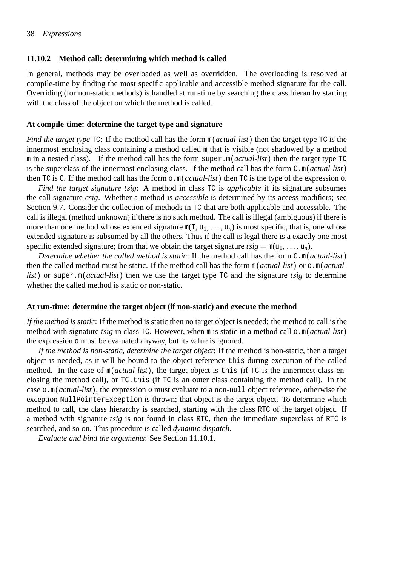#### **11.10.2 Method call: determining which method is called**

In general, methods may be overloaded as well as overridden. The overloading is resolved at compile-time by finding the most specific applicable and accessible method signature for the call. Overriding (for non-static methods) is handled at run-time by searching the class hierarchy starting with the class of the object on which the method is called.

#### **At compile-time: determine the target type and signature**

*Find the target type* TC: If the method call has the form  $m(\text{actual-list})$  then the target type TC is the innermost enclosing class containing a method called m that is visible (not shadowed by a method m in a nested class). If the method call has the form super.m(*actual-list*) then the target type TC is the superclass of the innermost enclosing class. If the method call has the form C.m(*actual-list*) then TC is C. If the method call has the form o.m(*actual-list*) then TC is the type of the expression o.

*Find the target signature tsig*: A method in class TC is *applicable* if its signature subsumes the call signature *csig*. Whether a method is *accessible* is determined by its access modifiers; see Section 9.7. Consider the collection of methods in TC that are both applicable and accessible. The call is illegal (method unknown) if there is no such method. The call is illegal (ambiguous) if there is more than one method whose extended signature  $m(T, u_1, \ldots, u_n)$  is most specific, that is, one whose extended signature is subsumed by all the others. Thus if the call is legal there is a exactly one most specific extended signature; from that we obtain the target signature  $\text{tsig} = m(u_1, \ldots, u_n)$ .

*Determine whether the called method is static*: If the method call has the form C.m(*actual-list*) then the called method must be static. If the method call has the form m(*actual-list*) or o.m(*actuallist*) or super.m(*actual-list*) then we use the target type TC and the signature *tsig* to determine whether the called method is static or non-static.

#### **At run-time: determine the target object (if non-static) and execute the method**

*If the method is static*: If the method is static then no target object is needed: the method to call is the method with signature *tsig* in class TC. However, when m is static in a method call o.m(*actual-list*) the expression o must be evaluated anyway, but its value is ignored.

*If the method is non-static, determine the target object*: If the method is non-static, then a target object is needed, as it will be bound to the object reference this during execution of the called method. In the case of m(*actual-list*), the target object is this (if TC is the innermost class enclosing the method call), or TC.this (if TC is an outer class containing the method call). In the case o.m(*actual-list*), the expression o must evaluate to a non-null object reference, otherwise the exception NullPointerException is thrown; that object is the target object. To determine which method to call, the class hierarchy is searched, starting with the class RTC of the target object. If a method with signature *tsig* is not found in class RTC, then the immediate superclass of RTC is searched, and so on. This procedure is called *dynamic dispatch*.

*Evaluate and bind the arguments*: See Section 11.10.1.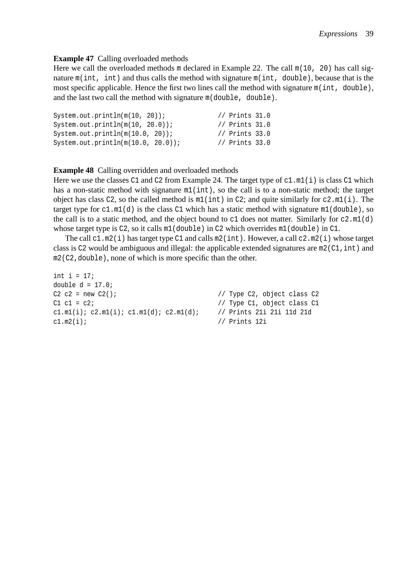#### **Example 47** Calling overloaded methods

Here we call the overloaded methods m declared in Example 22. The call  $m(10, 20)$  has call signature m(int, int) and thus calls the method with signature m(int, double), because that is the most specific applicable. Hence the first two lines call the method with signature  $m(int, double)$ , and the last two call the method with signature m(double, double).

| System.out.println( $m(10, 20)$ );     | $//$ Prints $31.0$ |  |
|----------------------------------------|--------------------|--|
| System.out.println( $m(10, 20.0)$ );   | $//$ Prints $31.0$ |  |
| System.out.println $(m(10.0, 20))$ ;   | // Prints $33.0$   |  |
| System.out.println( $m(10.0, 20.0)$ ); | $//$ Prints 33.0   |  |

#### **Example 48** Calling overridden and overloaded methods

Here we use the classes C1 and C2 from Example 24. The target type of  $c1 \cdot m1(i)$  is class C1 which has a non-static method with signature  $m1(int)$ , so the call is to a non-static method; the target object has class C2, so the called method is  $m1(int)$  in C2; and quite similarly for c2. $m1(i)$ . The target type for  $c1 \cdot m1(d)$  is the class C1 which has a static method with signature  $m1(double)$ , so the call is to a static method, and the object bound to c1 does not matter. Similarly for c2.m1(d) whose target type is C2, so it calls m1(double) in C2 which overrides m1(double) in C1.

The call c1.m2(i) has target type C1 and calls m2(int). However, a call c2.m2(i) whose target class is C2 would be ambiguous and illegal: the applicable extended signatures are  $m_2$  (C1, int) and m2(C2,double), none of which is more specific than the other.

```
int i = 17;
double d = 17.0;
C2 c2 = new C2(); \sqrt{y} = 02, object class C2
Cl \text{ } cl = c2; // \text{ Type } Cl, \text{ object class } Clc1.m1(i); c2.m1(i); c1.m1(d); c2.m1(d); // Prints 21i 21i 11d 21d
c1.m2(i); // Prints 12i
```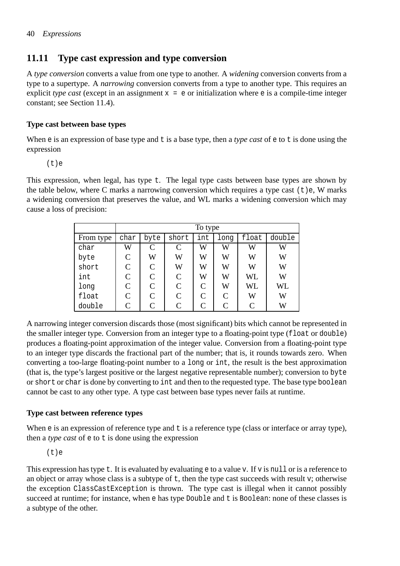# **11.11 Type cast expression and type conversion**

A *type conversion* converts a value from one type to another. A *widening* conversion converts from a type to a supertype. A *narrowing* conversion converts from a type to another type. This requires an explicit *type* cast (except in an assignment  $x = e$  or initialization where  $e$  is a compile-time integer constant; see Section 11.4).

### **Type cast between base types**

When e is an expression of base type and t is a base type, then a *type cast* of e to t is done using the expression

(t)e

This expression, when legal, has type t. The legal type casts between base types are shown by the table below, where C marks a narrowing conversion which requires a type cast  $(t)$ e, W marks a widening conversion that preserves the value, and WL marks a widening conversion which may cause a loss of precision:

|           |              |               |                             | To type                     |      |       |        |
|-----------|--------------|---------------|-----------------------------|-----------------------------|------|-------|--------|
| From type | char         | byte          | short                       | int                         | long | float | double |
| char      | W            | $\mathsf{C}$  | C                           | W                           | W    | W     | W      |
| byte      | C            | W             | W                           | W                           | W    | W     | W      |
| short     | $\mathsf{C}$ | $\mathsf{C}$  | W                           | W                           | W    | W     | W      |
| int       | $\mathsf{C}$ | $\mathsf{C}$  | $\mathcal{C}_{\mathcal{C}}$ | W                           | W    | WL    | W      |
| long      | C            | $\mathcal{C}$ | $\mathcal{C}$               | $\mathcal{C}_{\mathcal{C}}$ | W    | WL    | WL     |
| float     | C            | $\mathsf{C}$  | $\mathcal{C}$               | $\mathcal{C}_{\mathcal{C}}$ | C    | W     | W      |
| double    | C            | C             | $\mathsf{C}$                | $\mathcal{C}_{\mathcal{C}}$ | C    |       | W      |

A narrowing integer conversion discards those (most significant) bits which cannot be represented in the smaller integer type. Conversion from an integer type to a floating-point type (float or double) produces a floating-point approximation of the integer value. Conversion from a floating-point type to an integer type discards the fractional part of the number; that is, it rounds towards zero. When converting a too-large floating-point number to a long or int, the result is the best approximation (that is, the type's largest positive or the largest negative representable number); conversion to byte or short or char is done by converting to int and then to the requested type. The base type boolean cannot be cast to any other type. A type cast between base types never fails at runtime.

### **Type cast between reference types**

When e is an expression of reference type and t is a reference type (class or interface or array type), then a *type cast* of e to t is done using the expression

(t)e

This expression has type t. It is evaluated by evaluating  $\epsilon$  to a value v. If v is null or is a reference to an object or array whose class is a subtype of t, then the type cast succeeds with result v; otherwise the exception ClassCastException is thrown. The type cast is illegal when it cannot possibly succeed at runtime; for instance, when e has type Double and t is Boolean: none of these classes is a subtype of the other.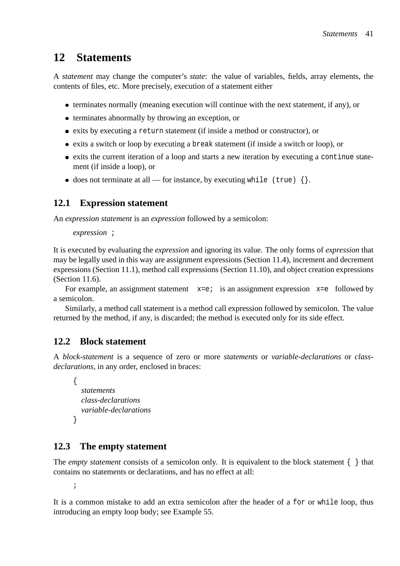# **12 Statements**

A *statement* may change the computer's *state*: the value of variables, fields, array elements, the contents of files, etc. More precisely, execution of a statement either

- $\bullet$  terminates normally (meaning execution will continue with the next statement, if any), or
- terminates abnormally by throwing an exception, or
- exits by executing a return statement (if inside a method or constructor), or
- exits a switch or loop by executing a break statement (if inside a switch or loop), or
- exits the current iteration of a loop and starts a new iteration by executing a continue statement (if inside a loop), or
- $\bullet$  does not terminate at all for instance, by executing while (true) {}.

# **12.1 Expression statement**

An *expression statement* is an *expression* followed by a semicolon:

*expression* ;

It is executed by evaluating the *expression* and ignoring its value. The only forms of *expression* that may be legally used in this way are assignment expressions (Section 11.4), increment and decrement expressions (Section 11.1), method call expressions (Section 11.10), and object creation expressions (Section 11.6).

For example, an assignment statement  $x=e$ ; is an assignment expression  $x=e$  followed by a semicolon.

Similarly, a method call statement is a method call expression followed by semicolon. The value returned by the method, if any, is discarded; the method is executed only for its side effect.

# **12.2 Block statement**

A *block-statement* is a sequence of zero or more *statements* or *variable-declarations* or *classdeclarations*, in any order, enclosed in braces:

```
statements
class-declarations
variable-declarations
```
# **12.3 The empty statement**

The *empty statement* consists of a semicolon only. It is equivalent to the block statement { } that contains no statements or declarations, and has no effect at all:

;

{

}

It is a common mistake to add an extra semicolon after the header of a for or while loop, thus introducing an empty loop body; see Example 55.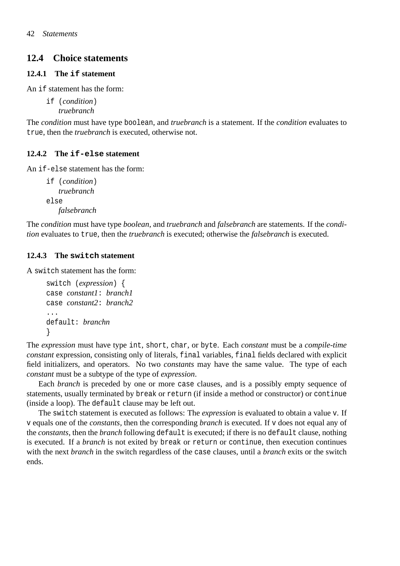# **12.4 Choice statements**

### **12.4.1 The if statement**

An if statement has the form:

if (*condition*) *truebranch*

The *condition* must have type boolean, and *truebranch* is a statement. If the *condition* evaluates to true, then the *truebranch* is executed, otherwise not.

## **12.4.2 The if-else statement**

An if-else statement has the form:

if (*condition*) *truebranch* else *falsebranch*

The *condition* must have type *boolean*, and *truebranch* and *falsebranch* are statements. If the *condition* evaluates to true, then the *truebranch* is executed; otherwise the *falsebranch* is executed.

### **12.4.3 The switch statement**

A switch statement has the form:

switch (*expression*) { case *constant1*: *branch1* case *constant2*: *branch2* ... default: *branchn* }

The *expression* must have type int, short, char, or byte. Each *constant* must be a *compile-time constant* expression, consisting only of literals, final variables, final fields declared with explicit field initializers, and operators. No two *constants* may have the same value. The type of each *constant* must be a subtype of the type of *expression*.

Each *branch* is preceded by one or more case clauses, and is a possibly empty sequence of statements, usually terminated by break or return (if inside a method or constructor) or continue (inside a loop). The default clause may be left out.

The switch statement is executed as follows: The *expression* is evaluated to obtain a value v. If v equals one of the *constants*, then the corresponding *branch* is executed. If v does not equal any of the *constants*, then the *branch* following default is executed; if there is no default clause, nothing is executed. If a *branch* is not exited by break or return or continue, then execution continues with the next *branch* in the switch regardless of the case clauses, until a *branch* exits or the switch ends.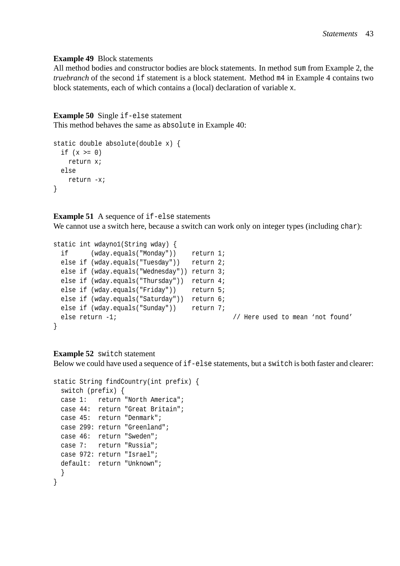#### **Example 49** Block statements

All method bodies and constructor bodies are block statements. In method sum from Example 2, the *truebranch* of the second if statement is a block statement. Method m4 in Example 4 contains two block statements, each of which contains a (local) declaration of variable x.

#### **Example 50** Single if-else statement

This method behaves the same as absolute in Example 40:

```
static double absolute(double x) {
  if (x \gt= 0)return x;
 else
   return -x;
}
```
#### **Example 51** A sequence of if-else statements

We cannot use a switch here, because a switch can work only on integer types (including char):

```
static int wdayno1(String wday) {
 if (wday.equals("Monday")) return 1;
 else if (wday.equals("Tuesday")) return 2;
 else if (wday.equals("Wednesday")) return 3;
 else if (wday.equals("Thursday")) return 4;
 else if (wday.equals("Friday")) return 5;
 else if (wday.equals("Saturday")) return 6;
 else if (wday.equals("Sunday")) return 7;
 else return -1; \sqrt{2} // Here used to mean 'not found'
}
```
#### **Example 52** switch statement

Below we could have used a sequence of if-else statements, but a switch is both faster and clearer:

```
static String findCountry(int prefix) {
 switch (prefix) {
 case 1: return "North America";
 case 44: return "Great Britain";
 case 45: return "Denmark";
 case 299: return "Greenland";
 case 46: return "Sweden";
 case 7: return "Russia";
  case 972: return "Israel";
 default: return "Unknown";
  }
}
```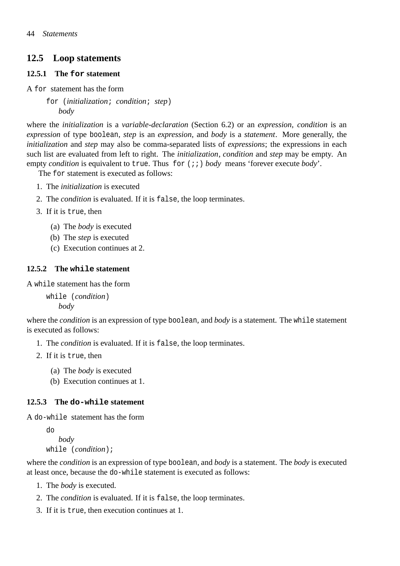# **12.5 Loop statements**

### **12.5.1 The for statement**

A for statement has the form

for (*initialization*; *condition*; *step*) *body*

where the *initialization* is a *variable-declaration* (Section 6.2) or an *expression*, *condition* is an *expression* of type boolean, *step* is an *expression*, and *body* is a *statement*. More generally, the *initialization* and *step* may also be comma-separated lists of *expressions*; the expressions in each such list are evaluated from left to right. The *initialization*, *condition* and *step* may be empty. An empty *condition* is equivalent to true. Thus for (;;) *body* means 'forever execute *body*'.

The for statement is executed as follows:

- 1. The *initialization* is executed
- 2. The *condition* is evaluated. If it is false, the loop terminates.
- 3. If it is true, then
	- (a) The *body* is executed
	- (b) The *step* is executed
	- (c) Execution continues at 2.

### **12.5.2 The while statement**

A while statement has the form

while (*condition*) *body*

where the *condition* is an expression of type boolean, and *body* is a statement. The while statement is executed as follows:

- 1. The *condition* is evaluated. If it is false, the loop terminates.
- 2. If it is true, then
	- (a) The *body* is executed
	- (b) Execution continues at 1.

### **12.5.3 The do-while statement**

A do-while statement has the form

do

*body*

while (*condition*);

where the *condition* is an expression of type boolean, and *body* is a statement. The *body* is executed at least once, because the do-while statement is executed as follows:

- 1. The *body* is executed.
- 2. The *condition* is evaluated. If it is false, the loop terminates.
- 3. If it is true, then execution continues at 1.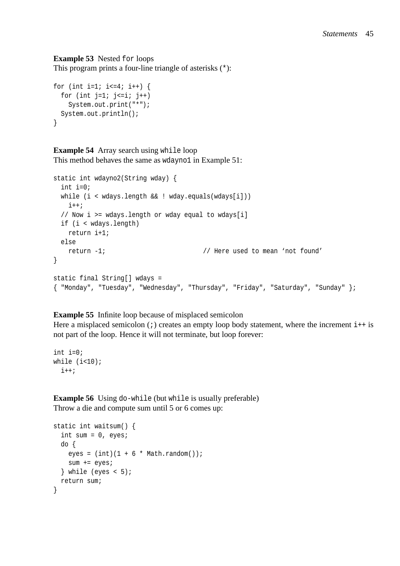### **Example 53** Nested for loops

This program prints a four-line triangle of asterisks (\*):

```
for (int i=1; i<=4; i++) {
 for (int j=1; j<=i; j++)System.out.print("*");
 System.out.println();
}
```
#### **Example 54** Array search using while loop This method behaves the same as wdayno1 in Example 51:

```
static int wdayno2(String wday) {
 int i=0;
 while (i < wdays.length && ! wday.equals(wdays[i]))
   i++;// Now i >= wdays.length or wday equal to wdays[i]
 if (i < wdays.length)
   return i+1;
 else
   return -1; \sqrt{ } Here used to mean 'not found'
}
static final String[] wdays =
{ "Monday", "Tuesday", "Wednesday", "Thursday", "Friday", "Saturday", "Sunday" };
```
### **Example 55** Infinite loop because of misplaced semicolon

Here a misplaced semicolon (;) creates an empty loop body statement, where the increment  $i++$  is not part of the loop. Hence it will not terminate, but loop forever:

```
int i=0;
while (i<10);i++;
```
**Example 56** Using do-while (but while is usually preferable) Throw a die and compute sum until 5 or 6 comes up:

```
static int waitsum() {
 int sum = 0, eyes;
 do {
   eyes = (int)(1 + 6 * Math.random());
   sum += eyes;
  } while (eyes < 5);
 return sum;
}
```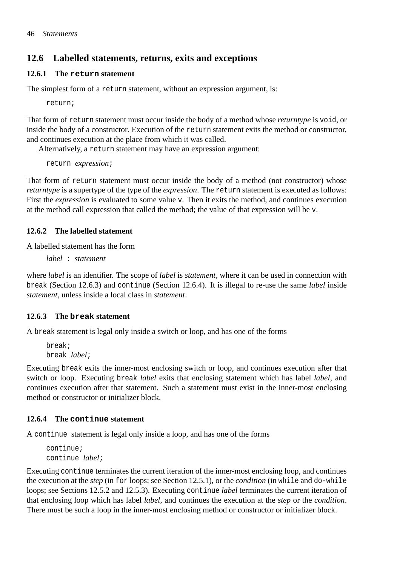# **12.6 Labelled statements, returns, exits and exceptions**

### **12.6.1 The return statement**

The simplest form of a return statement, without an expression argument, is:

return;

That form of return statement must occur inside the body of a method whose *returntype* is void, or inside the body of a constructor. Execution of the return statement exits the method or constructor, and continues execution at the place from which it was called.

Alternatively, a return statement may have an expression argument:

return *expression*;

That form of return statement must occur inside the body of a method (not constructor) whose *returntype* is a supertype of the type of the *expression*. The return statement is executed as follows: First the *expression* is evaluated to some value v. Then it exits the method, and continues execution at the method call expression that called the method; the value of that expression will be v.

### **12.6.2 The labelled statement**

A labelled statement has the form

*label* : *statement*

where *label* is an identifier. The scope of *label* is *statement*, where it can be used in connection with break (Section 12.6.3) and continue (Section 12.6.4). It is illegal to re-use the same *label* inside *statement*, unless inside a local class in *statement*.

## **12.6.3 The break statement**

A break statement is legal only inside a switch or loop, and has one of the forms

break; break *label*;

Executing break exits the inner-most enclosing switch or loop, and continues execution after that switch or loop. Executing break *label* exits that enclosing statement which has label *label*, and continues execution after that statement. Such a statement must exist in the inner-most enclosing method or constructor or initializer block.

## **12.6.4 The continue statement**

A continue statement is legal only inside a loop, and has one of the forms

continue; continue *label*;

Executing continue terminates the current iteration of the inner-most enclosing loop, and continues the execution at the *step* (in for loops; see Section 12.5.1), or the *condition* (in while and do-while loops; see Sections 12.5.2 and 12.5.3). Executing continue *label* terminates the current iteration of that enclosing loop which has label *label*, and continues the execution at the *step* or the *condition*. There must be such a loop in the inner-most enclosing method or constructor or initializer block.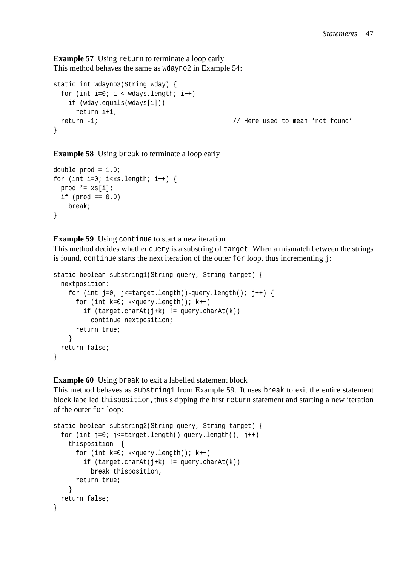## **Example 57** Using return to terminate a loop early

This method behaves the same as wdayno2 in Example 54:

```
static int wdayno3(String wday) {
 for (int i=0; i < wdays.length; i++)
   if (wday.equals(wdays[i]))
     return i+1;
 return -1; \sqrt{2} // Here used to mean 'not found'
}
```
### **Example 58** Using break to terminate a loop early

```
double prod = 1.0;
for (int i=0; i<xs.length; i++) {
 prod * = xs[i];if (prod == 0.0)
   break;
}
```
### **Example 59** Using continue to start a new iteration

This method decides whether query is a substring of target. When a mismatch between the strings is found, continue starts the next iteration of the outer for loop, thus incrementing j:

```
static boolean substring1(String query, String target) {
 nextposition:
   for (int j=0; j<=target.length()-query.length(); j++) {
     for (int k=0; k<query.length(); k++)
        if (target.charAt(j+k) != query.charAt(k))continue nextposition;
     return true;
    }
 return false;
}
```
**Example 60** Using break to exit a labelled statement block

This method behaves as substring1 from Example 59. It uses break to exit the entire statement block labelled thisposition, thus skipping the first return statement and starting a new iteration of the outer for loop:

```
static boolean substring2(String query, String target) {
 for (int j=0; j<=target.length()-query.length(); j++)
   thisposition: {
      for (int k=0; k<query.length(); k++)
       if (target.charAt(j+k) != query.charAt(k))break thisposition;
     return true;
   }
 return false;
}
```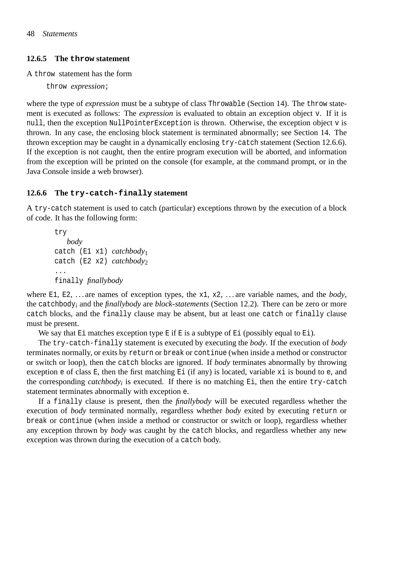#### **12.6.5 The throw statement**

A throw statement has the form

throw *expression*;

where the type of *expression* must be a subtype of class Throwable (Section 14). The throw statement is executed as follows: The *expression* is evaluated to obtain an exception object v. If it is null, then the exception NullPointerException is thrown. Otherwise, the exception object v is thrown. In any case, the enclosing block statement is terminated abnormally; see Section 14. The thrown exception may be caught in a dynamically enclosing try-catch statement (Section 12.6.6). If the exception is not caught, then the entire program execution will be aborted, and information from the exception will be printed on the console (for example, at the command prompt, or in the Java Console inside a web browser).

#### **12.6.6 The try-catch-finally statement**

A try-catch statement is used to catch (particular) exceptions thrown by the execution of a block of code. It has the following form:

try *body* catch (E1 x1) *catchbody*<sup>1</sup> catch (E2 x2) *catchbody*<sup>2</sup> ... finally *finallybody*

where E1, E2, ... are names of exception types, the x1, x2, ... are variable names, and the *body*, the catchbody*<sup>i</sup>* and the *finallybody* are *block-statements* (Section 12.2). There can be zero or more catch blocks, and the finally clause may be absent, but at least one catch or finally clause must be present.

We say that Ei matches exception type E if E is a subtype of Ei (possibly equal to Ei).

The try-catch-finally statement is executed by executing the *body*. If the execution of *body* terminates normally, or exits by return or break or continue (when inside a method or constructor or switch or loop), then the catch blocks are ignored. If *body* terminates abnormally by throwing exception e of class  $E$ , then the first matching  $E_i$  (if any) is located, variable xi is bound to e, and the corresponding *catchbody<sup>i</sup>* is executed. If there is no matching Ei, then the entire try-catch statement terminates abnormally with exception e.

If a finally clause is present, then the *finallybody* will be executed regardless whether the execution of *body* terminated normally, regardless whether *body* exited by executing return or break or continue (when inside a method or constructor or switch or loop), regardless whether any exception thrown by *body* was caught by the catch blocks, and regardless whether any new exception was thrown during the execution of a catch body.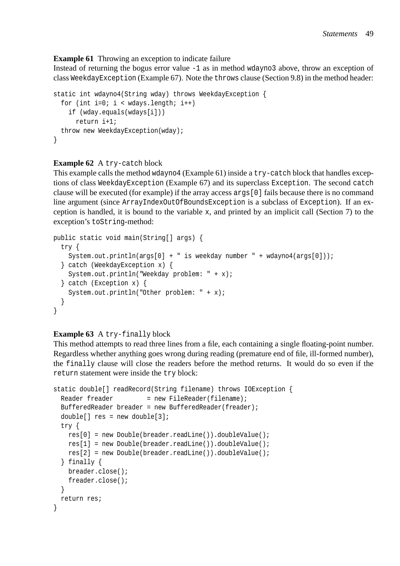#### **Example 61** Throwing an exception to indicate failure

Instead of returning the bogus error value -1 as in method wdayno3 above, throw an exception of class WeekdayException (Example 67). Note the throws clause (Section 9.8) in the method header:

```
static int wdayno4(String wday) throws WeekdayException {
 for (int i=0; i < wdays.length; i++)if (wday.equals(wdays[i]))
     return i+1;
 throw new WeekdayException(wday);
}
```
### **Example 62** A try-catch block

This example calls the method wdayno4 (Example 61) inside a try-catch block that handles exceptions of class WeekdayException (Example 67) and its superclass Exception. The second catch clause will be executed (for example) if the array access args[0] fails because there is no command line argument (since ArrayIndexOutOfBoundsException is a subclass of Exception). If an exception is handled, it is bound to the variable x, and printed by an implicit call (Section 7) to the exception's toString-method:

```
public static void main(String[] args) {
  try {
    System.out.println(arg[0] + " is weekday number " + wdayno4(arg[0]));
  } catch (WeekdayException x) {
    System.out.println("Weekday problem: " + x);
  } catch (Exception x) {
    System.out.println("Other problem: " + x);
  }
}
```
### **Example 63** A try-finally block

This method attempts to read three lines from a file, each containing a single floating-point number. Regardless whether anything goes wrong during reading (premature end of file, ill-formed number), the finally clause will close the readers before the method returns. It would do so even if the return statement were inside the try block:

```
static double[] readRecord(String filename) throws IOException {
 Reader freader = new FileReader(filename);
 BufferedReader breader = new BufferedReader(freader);
 double[] res = new double[3];
 try {
   res[0] = new Double(breader.readLine()).doubleValue();
   res[1] = new Double(breader.readLine()).doubleValue();
   res[2] = new Double(breader.readLine()).doubleValue();
  } finally {
   breader.close();
   freader.close();
  }
 return res;
}
```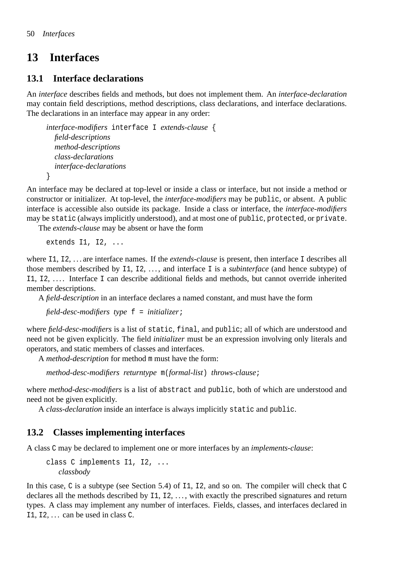# **13 Interfaces**

## **13.1 Interface declarations**

An *interface* describes fields and methods, but does not implement them. An *interface-declaration* may contain field descriptions, method descriptions, class declarations, and interface declarations. The declarations in an interface may appear in any order:

```
interface-modifiers interface I extends-clause {
  field-descriptions
  method-descriptions
  class-declarations
  interface-declarations
}
```
An interface may be declared at top-level or inside a class or interface, but not inside a method or constructor or initializer. At top-level, the *interface-modifiers* may be public, or absent. A public interface is accessible also outside its package. Inside a class or interface, the *interface-modifiers* may be static (always implicitly understood), and at most one of public, protected, or private.

The *extends-clause* may be absent or have the form

extends I1, I2, ...

where  $11, 12, \ldots$  are interface names. If the *extends-clause* is present, then interface I describes all those members described by I1, I2, . . . , and interface I is a *subinterface* (and hence subtype) of I1, I2, . . . . Interface I can describe additional fields and methods, but cannot override inherited member descriptions.

A *field-description* in an interface declares a named constant, and must have the form

*field-desc-modifiers type* f = *initializer*;

where *field-desc-modifiers* is a list of static, final, and public; all of which are understood and need not be given explicitly. The field *initializer* must be an expression involving only literals and operators, and static members of classes and interfaces.

A *method-description* for method m must have the form:

*method-desc-modifiers returntype* m(*formal-list*) *throws-clause*;

where *method-desc-modifiers* is a list of abstract and public, both of which are understood and need not be given explicitly.

A *class-declaration* inside an interface is always implicitly static and public.

## **13.2 Classes implementing interfaces**

A class C may be declared to implement one or more interfaces by an *implements-clause*:

class C implements I1, I2, ... *classbody*

In this case, C is a subtype (see Section 5.4) of I1, I2, and so on. The compiler will check that C declares all the methods described by  $11, 12, \ldots$ , with exactly the prescribed signatures and return types. A class may implement any number of interfaces. Fields, classes, and interfaces declared in  $11, 12, \ldots$  can be used in class C.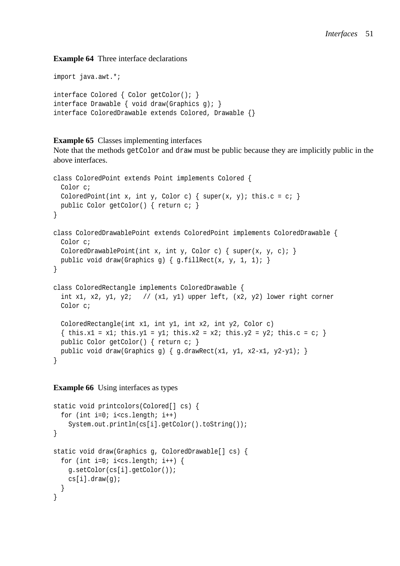#### **Example 64** Three interface declarations

```
import java.awt.*;
interface Colored { Color getColor(); }
interface Drawable { void draw(Graphics g); }
interface ColoredDrawable extends Colored, Drawable {}
```
#### **Example 65** Classes implementing interfaces

Note that the methods getColor and draw must be public because they are implicitly public in the above interfaces.

```
class ColoredPoint extends Point implements Colored {
 Color c;
 ColoredPoint(int x, int y, Color c) { super(x, y); this.c = c; }
 public Color getColor() { return c; }
}
class ColoredDrawablePoint extends ColoredPoint implements ColoredDrawable {
 Color c;
 ColoredDrawablePoint(int x, int y, Color c) { super(x, y, c); }
 public void draw(Graphics g) { g.fillRect(x, y, 1, 1); }
}
class ColoredRectangle implements ColoredDrawable {
 int x1, x2, y1, y2; \frac{1}{x^2}, \frac{1}{x^2}, \frac{1}{x^2}, upper left, (x^2, y^2) lower right corner
 Color c;
 ColoredRectangle(int x1, int y1, int x2, int y2, Color c)
  { this.x1 = x1; this.y1 = y1; this.x2 = x2; this.y2 = y2; this.c = c; }
 public Color getColor() { return c; }
 public void draw(Graphics q) { q.drawRect(x1, y1, x2-x1, y2-y1); }
}
```
#### **Example 66** Using interfaces as types

```
static void printcolors(Colored[] cs) {
 for (int i=0; i<cs.length; i++)System.out.println(cs[i].getColor().toString());
}
static void draw(Graphics g, ColoredDrawable[] cs) {
 for (int i=0; i<cs.length; i++) {
   g.setColor(cs[i].getColor());
   cs[i].draw(g);
 }
}
```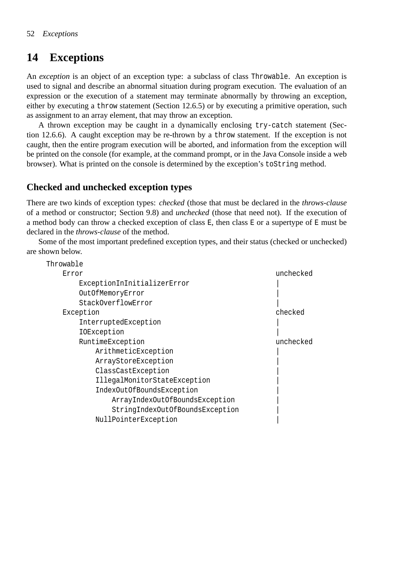# **14 Exceptions**

An *exception* is an object of an exception type: a subclass of class Throwable. An exception is used to signal and describe an abnormal situation during program execution. The evaluation of an expression or the execution of a statement may terminate abnormally by throwing an exception, either by executing a throw statement (Section 12.6.5) or by executing a primitive operation, such as assignment to an array element, that may throw an exception.

A thrown exception may be caught in a dynamically enclosing try-catch statement (Section 12.6.6). A caught exception may be re-thrown by a throw statement. If the exception is not caught, then the entire program execution will be aborted, and information from the exception will be printed on the console (for example, at the command prompt, or in the Java Console inside a web browser). What is printed on the console is determined by the exception's toString method.

# **Checked and unchecked exception types**

There are two kinds of exception types: *checked* (those that must be declared in the *throws-clause* of a method or constructor; Section 9.8) and *unchecked* (those that need not). If the execution of a method body can throw a checked exception of class  $E$ , then class  $E$  or a supertype of  $E$  must be declared in the *throws-clause* of the method.

Some of the most important predefined exception types, and their status (checked or unchecked) are shown below.

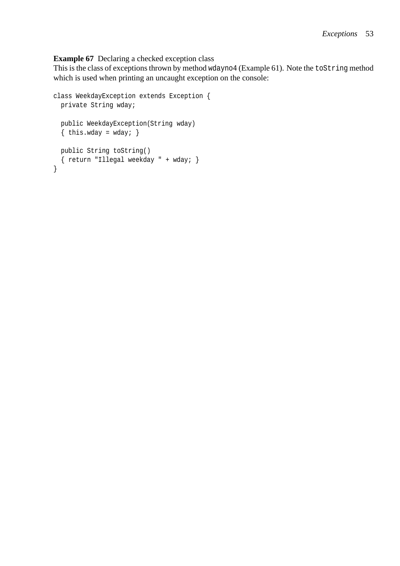### **Example 67** Declaring a checked exception class

This is the class of exceptions thrown by method wdayno4 (Example 61). Note the toString method which is used when printing an uncaught exception on the console:

```
class WeekdayException extends Exception {
 private String wday;
 public WeekdayException(String wday)
 { this.wday = wday; }
 public String toString()
 { return "Illegal weekday " + wday; }
}
```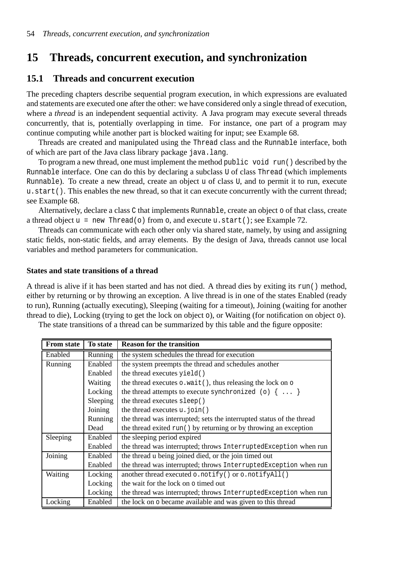# **15 Threads, concurrent execution, and synchronization**

## **15.1 Threads and concurrent execution**

The preceding chapters describe sequential program execution, in which expressions are evaluated and statements are executed one after the other: we have considered only a single thread of execution, where a *thread* is an independent sequential activity. A Java program may execute several threads concurrently, that is, potentially overlapping in time. For instance, one part of a program may continue computing while another part is blocked waiting for input; see Example 68.

Threads are created and manipulated using the Thread class and the Runnable interface, both of which are part of the Java class library package java.lang.

To program a new thread, one must implement the method public void run() described by the Runnable interface. One can do this by declaring a subclass U of class Thread (which implements Runnable). To create a new thread, create an object u of class U, and to permit it to run, execute u.start(). This enables the new thread, so that it can execute concurrently with the current thread; see Example 68.

Alternatively, declare a class C that implements Runnable, create an object o of that class, create a thread object  $u = new Thread(o)$  from o, and execute u.start(); see Example 72.

Threads can communicate with each other only via shared state, namely, by using and assigning static fields, non-static fields, and array elements. By the design of Java, threads cannot use local variables and method parameters for communication.

### **States and state transitions of a thread**

A thread is alive if it has been started and has not died. A thread dies by exiting its run() method, either by returning or by throwing an exception. A live thread is in one of the states Enabled (ready to run), Running (actually executing), Sleeping (waiting for a timeout), Joining (waiting for another thread to die), Locking (trying to get the lock on object o), or Waiting (for notification on object o).

The state transitions of a thread can be summarized by this table and the figure opposite:

| <b>From state</b> | To state | <b>Reason for the transition</b>                                          |
|-------------------|----------|---------------------------------------------------------------------------|
| Enabled           | Running  | the system schedules the thread for execution                             |
| Running           | Enabled  | the system preempts the thread and schedules another                      |
|                   | Enabled  | the thread executes yield()                                               |
|                   | Waiting  | the thread executes $\circ$ . wait (), thus releasing the lock on $\circ$ |
|                   | Locking  | the thread attempts to execute synchronized (o) $\{ \ldots \}$            |
|                   | Sleeping | the thread executes sleep()                                               |
|                   | Joining  | the thread executes $u$ . join()                                          |
|                   | Running  | the thread was interrupted; sets the interrupted status of the thread     |
|                   | Dead     | the thread exited run() by returning or by throwing an exception          |
| Sleeping          | Enabled  | the sleeping period expired                                               |
|                   | Enabled  | the thread was interrupted; throws InterruptedException when run          |
| Joining           | Enabled  | the thread u being joined died, or the join timed out                     |
|                   | Enabled  | the thread was interrupted; throws InterruptedException when run          |
| Waiting           | Locking  | another thread executed o.notify() or o.notifyAll()                       |
|                   | Locking  | the wait for the lock on o timed out                                      |
|                   | Locking  | the thread was interrupted; throws InterruptedException when run          |
| Locking           | Enabled  | the lock on o became available and was given to this thread               |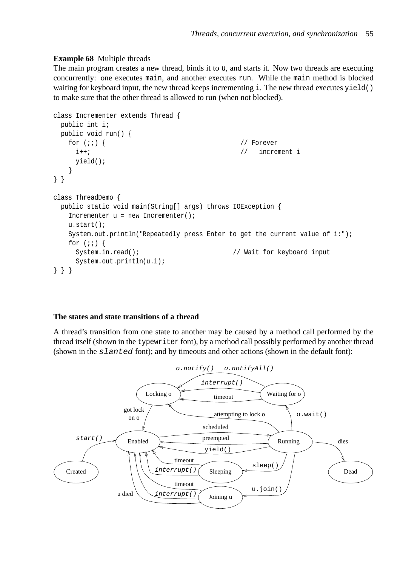### **Example 68** Multiple threads

The main program creates a new thread, binds it to u, and starts it. Now two threads are executing concurrently: one executes main, and another executes run. While the main method is blocked waiting for keyboard input, the new thread keeps incrementing i. The new thread executes yield() to make sure that the other thread is allowed to run (when not blocked).

```
class Incrementer extends Thread {
 public int i;
 public void run() {
   for (i) \{ // Forever
     i++; // increment i
     yield();
   }
} }
class ThreadDemo {
 public static void main(String[] args) throws IOException {
   Incrementer u = new Incrementer();
   u.start();
   System.out.println("Repeatedly press Enter to get the current value of i:");
   for (i; j) {
     System.in.read(); \frac{1}{2} // Wait for keyboard input
     System.out.println(u.i);
} } }
```
### **The states and state transitions of a thread**

A thread's transition from one state to another may be caused by a method call performed by the thread itself (shown in the typewriter font), by a method call possibly performed by another thread (shown in the slanted font); and by timeouts and other actions (shown in the default font):

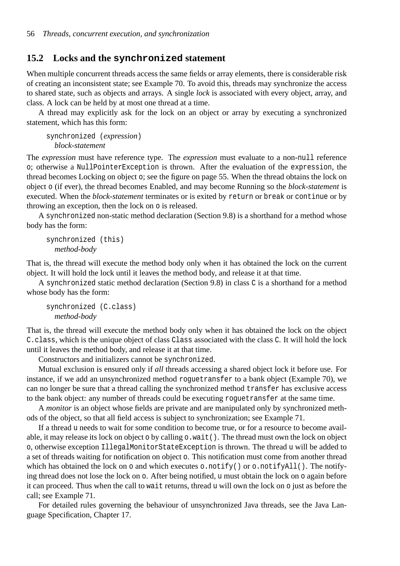### **15.2 Locks and the synchronized statement**

When multiple concurrent threads access the same fields or array elements, there is considerable risk of creating an inconsistent state; see Example 70. To avoid this, threads may synchronize the access to shared state, such as objects and arrays. A single *lock* is associated with every object, array, and class. A lock can be held by at most one thread at a time.

A thread may explicitly ask for the lock on an object or array by executing a synchronized statement, which has this form:

synchronized (*expression*) *block-statement*

The *expression* must have reference type. The *expression* must evaluate to a non-null reference o; otherwise a NullPointerException is thrown. After the evaluation of the expression, the thread becomes Locking on object o; see the figure on page 55. When the thread obtains the lock on object o (if ever), the thread becomes Enabled, and may become Running so the *block-statement* is executed. When the *block-statement* terminates or is exited by return or break or continue or by throwing an exception, then the lock on o is released.

A synchronized non-static method declaration (Section 9.8) is a shorthand for a method whose body has the form:

```
synchronized (this)
 method-body
```
That is, the thread will execute the method body only when it has obtained the lock on the current object. It will hold the lock until it leaves the method body, and release it at that time.

A synchronized static method declaration (Section 9.8) in class C is a shorthand for a method whose body has the form:

```
synchronized (C.class)
 method-body
```
That is, the thread will execute the method body only when it has obtained the lock on the object C.class, which is the unique object of class Class associated with the class C. It will hold the lock until it leaves the method body, and release it at that time.

Constructors and initializers cannot be synchronized.

Mutual exclusion is ensured only if *all* threads accessing a shared object lock it before use. For instance, if we add an unsynchronized method roguetransfer to a bank object (Example 70), we can no longer be sure that a thread calling the synchronized method transfer has exclusive access to the bank object: any number of threads could be executing roguetransfer at the same time.

A *monitor* is an object whose fields are private and are manipulated only by synchronized methods of the object, so that all field access is subject to synchronization; see Example 71.

If a thread u needs to wait for some condition to become true, or for a resource to become available, it may release its lock on object o by calling o.wait(). The thread must own the lock on object o, otherwise exception IllegalMonitorStateException is thrown. The thread u will be added to a set of threads waiting for notification on object o. This notification must come from another thread which has obtained the lock on  $\circ$  and which executes  $\circ$ . notify() or  $\circ$ . notifyAll(). The notifying thread does not lose the lock on o. After being notified, u must obtain the lock on o again before it can proceed. Thus when the call to wait returns, thread u will own the lock on o just as before the call; see Example 71.

For detailed rules governing the behaviour of unsynchronized Java threads, see the Java Language Specification, Chapter 17.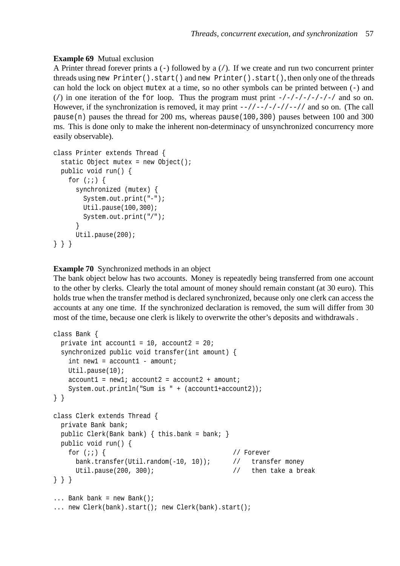### **Example 69** Mutual exclusion

A Printer thread forever prints a  $(-)$  followed by a  $($  ). If we create and run two concurrent printer threads using new Printer().start() and new Printer().start(), then only one of the threads can hold the lock on object mutex at a time, so no other symbols can be printed between (-) and () in one iteration of the for loop. Thus the program must print  $-/-/-/-/-/-/$  and so on. However, if the synchronization is removed, it may print  $-\frac{1}{-\frac{1}{-\frac{1}{-\frac{1}{-\frac{1}{-\frac{1}{\cdot}}}}}}$  and so on. (The call pause(n) pauses the thread for 200 ms, whereas pause(100,300) pauses between 100 and 300 ms. This is done only to make the inherent non-determinacy of unsynchronized concurrency more easily observable).

```
class Printer extends Thread {
 static Object mutex = new Object();
 public void run() {
    for (i; j) {
      synchronized (mutex) {
        System.out.print("-");
        Util.pause(100,300);
        System.out.print("/");
      }
      Util.pause(200);
} } }
```
**Example 70** Synchronized methods in an object

The bank object below has two accounts. Money is repeatedly being transferred from one account to the other by clerks. Clearly the total amount of money should remain constant (at 30 euro). This holds true when the transfer method is declared synchronized, because only one clerk can access the accounts at any one time. If the synchronized declaration is removed, the sum will differ from 30 most of the time, because one clerk is likely to overwrite the other's deposits and withdrawals .

```
class Bank {
 private int account1 = 10, \arccos 20;
 synchronized public void transfer(int amount) {
   int newl = account1 - amount;
   Util.pause(10);
   account1 = new1; account2 = account2 + amount;System.out.println("Sum is " + (account1+account2));
} }
class Clerk extends Thread {
 private Bank bank;
 public Clerk(Bank bank) { this.bank = bank; }
 public void run() {
   for (i) \{ // Forever
     bank.transfer(Util.random(-10, 10)); // transfer money
     Util.pause(200, 300); \frac{1}{2} then take a break
} } }
... Bank bank = new Bank();
... new Clerk(bank).start(); new Clerk(bank).start();
```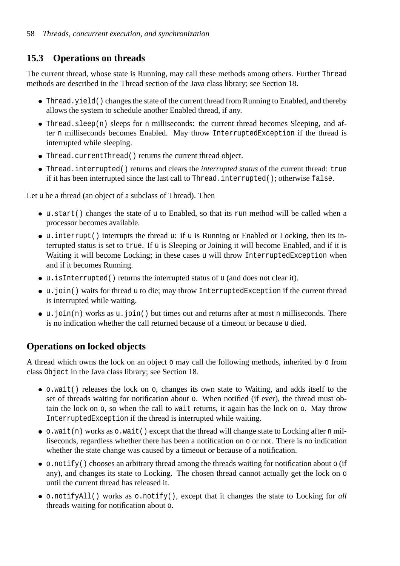# **15.3 Operations on threads**

The current thread, whose state is Running, may call these methods among others. Further Thread methods are described in the Thread section of the Java class library; see Section 18.

- Thread.yield() changes the state of the current thread from Running to Enabled, and thereby allows the system to schedule another Enabled thread, if any.
- Thread.sleep(n) sleeps for n milliseconds: the current thread becomes Sleeping, and after n milliseconds becomes Enabled. May throw InterruptedException if the thread is interrupted while sleeping.
- Thread.currentThread() returns the current thread object.
- Thread.interrupted() returns and clears the *interrupted status* of the current thread: true if it has been interrupted since the last call to Thread.interrupted(); otherwise false.

Let u be a thread (an object of a subclass of Thread). Then

- u.start() changes the state of u to Enabled, so that its run method will be called when a processor becomes available.
- u. interrupt() interrupts the thread u: if u is Running or Enabled or Locking, then its interrupted status is set to true. If u is Sleeping or Joining it will become Enabled, and if it is Waiting it will become Locking; in these cases u will throw InterruptedException when and if it becomes Running.
- u.isInterrupted() returns the interrupted status of u (and does not clear it).
- u.join() waits for thread u to die; may throw InterruptedException if the current thread is interrupted while waiting.
- $\bullet$  u.join(n) works as u.join() but times out and returns after at most n milliseconds. There is no indication whether the call returned because of a timeout or because u died.

## **Operations on locked objects**

A thread which owns the lock on an object o may call the following methods, inherited by o from class Object in the Java class library; see Section 18.

- o.wait() releases the lock on o, changes its own state to Waiting, and adds itself to the set of threads waiting for notification about o. When notified (if ever), the thread must obtain the lock on o, so when the call to wait returns, it again has the lock on o. May throw InterruptedException if the thread is interrupted while waiting.
- $\bullet$  o.wait(n) works as o.wait() except that the thread will change state to Locking after n milliseconds, regardless whether there has been a notification on o or not. There is no indication whether the state change was caused by a timeout or because of a notification.
- $\bullet$  o.notify() chooses an arbitrary thread among the threads waiting for notification about o (if any), and changes its state to Locking. The chosen thread cannot actually get the lock on o until the current thread has released it.
- o.notifyAll() works as o.notify(), except that it changes the state to Locking for *all* threads waiting for notification about o.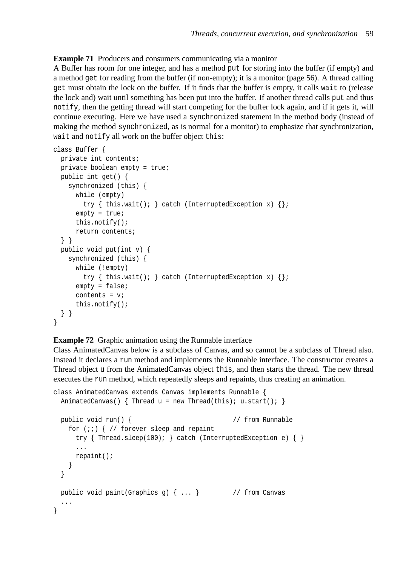**Example 71** Producers and consumers communicating via a monitor

A Buffer has room for one integer, and has a method put for storing into the buffer (if empty) and a method get for reading from the buffer (if non-empty); it is a monitor (page 56). A thread calling get must obtain the lock on the buffer. If it finds that the buffer is empty, it calls wait to (release the lock and) wait until something has been put into the buffer. If another thread calls put and thus notify, then the getting thread will start competing for the buffer lock again, and if it gets it, will continue executing. Here we have used a synchronized statement in the method body (instead of making the method synchronized, as is normal for a monitor) to emphasize that synchronization, wait and notify all work on the buffer object this:

```
class Buffer {
 private int contents;
 private boolean empty = true;
 public int get() {
   synchronized (this) {
      while (empty)
        try { this.wait(); } catch (InterruptedException x) {};
      empty = true;
      this.notify();
      return contents;
  } }
 public void put(int v) {
   synchronized (this) {
      while (!empty)
        try { this.wait(); } catch (InterruptedException x) {};
      empty = false;
      contents = v;
      this.notify();
  } }
}
```
### **Example 72** Graphic animation using the Runnable interface

Class AnimatedCanvas below is a subclass of Canvas, and so cannot be a subclass of Thread also. Instead it declares a run method and implements the Runnable interface. The constructor creates a Thread object u from the AnimatedCanvas object this, and then starts the thread. The new thread executes the run method, which repeatedly sleeps and repaints, thus creating an animation.

```
class AnimatedCanvas extends Canvas implements Runnable {
 AnimatedCanvas() { Thread u = new Thread(this); u.start(); }
 public void run() { \sqrt{2} // from Runnable
   for (i) \{ // forever sleep and repaint
     try { Thread.sleep(100); } catch (InterruptedException e) { }
     ...
     repaint();
   }
 }
 public void paint(Graphics g) { ... } // from Canvas
  ...
}
```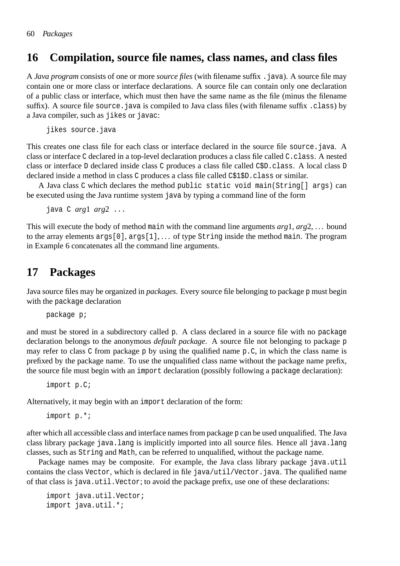# **16 Compilation, source file names, class names, and class files**

A *Java program* consists of one or more *source files* (with filename suffix .java). A source file may contain one or more class or interface declarations. A source file can contain only one declaration of a public class or interface, which must then have the same name as the file (minus the filename suffix). A source file source. java is compiled to Java class files (with filename suffix . class) by a Java compiler, such as jikes or javac:

jikes source.java

This creates one class file for each class or interface declared in the source file source.java. A class or interface C declared in a top-level declaration produces a class file called C.class. A nested class or interface D declared inside class C produces a class file called C\$D.class. A local class D declared inside a method in class C produces a class file called C\$1\$D.class or similar.

A Java class C which declares the method public static void main(String[] args) can be executed using the Java runtime system java by typing a command line of the form

java C *arg*1 *arg*2 ...

This will execute the body of method main with the command line arguments *arg*1, *arg*2, . . . bound to the array elements args[0], args[1], . . . of type String inside the method main. The program in Example 6 concatenates all the command line arguments.

# **17 Packages**

Java source files may be organized in *packages*. Every source file belonging to package p must begin with the package declaration

package p;

and must be stored in a subdirectory called p. A class declared in a source file with no package declaration belongs to the anonymous *default package*. A source file not belonging to package p may refer to class C from package p by using the qualified name p.C, in which the class name is prefixed by the package name. To use the unqualified class name without the package name prefix, the source file must begin with an import declaration (possibly following a package declaration):

import p.C;

Alternatively, it may begin with an import declaration of the form:

import p.\*;

after which all accessible class and interface names from package p can be used unqualified. The Java class library package java.lang is implicitly imported into all source files. Hence all java.lang classes, such as String and Math, can be referred to unqualified, without the package name.

Package names may be composite. For example, the Java class library package java.util contains the class Vector, which is declared in file java/util/Vector.java. The qualified name of that class is java.util.Vector; to avoid the package prefix, use one of these declarations:

```
import java.util.Vector;
import java.util.*;
```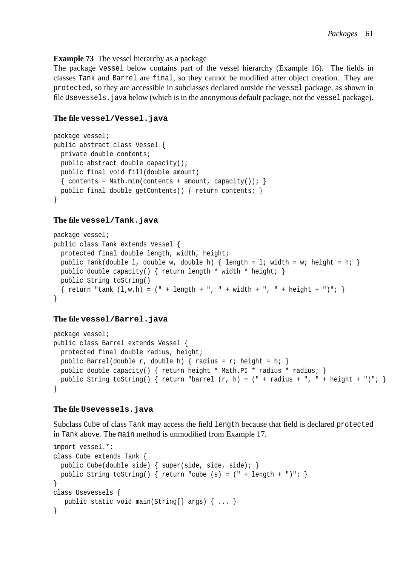### **Example 73** The vessel hierarchy as a package

The package vessel below contains part of the vessel hierarchy (Example 16). The fields in classes Tank and Barrel are final, so they cannot be modified after object creation. They are protected, so they are accessible in subclasses declared outside the vessel package, as shown in file Usevessels. java below (which is in the anonymous default package, not the vessel package).

### **The file vessel/Vessel.java**

```
package vessel;
public abstract class Vessel {
 private double contents;
 public abstract double capacity();
 public final void fill(double amount)
  { contents = Math.min(contents + amount, capacity()); }
 public final double getContents() { return contents; }
}
```
### **The file vessel/Tank.java**

```
package vessel;
public class Tank extends Vessel {
  protected final double length, width, height;
  public Tank(double 1, double w, double h) { length = l; width = w; height = h; }
  public double capacity() { return length * width * height; }
  public String toString()
  { return "tank (1,w,h) = (" + length + ", " + width + ", " + height + ")"; }
}
```
### **The file vessel/Barrel.java**

```
package vessel;
public class Barrel extends Vessel {
 protected final double radius, height;
 public Barrel(double r, double h) { radius = r; height = h; }
 public double capacity() { return height * Math.PI * radius * radius; }
 public String toString() { return "barrel (r, h) = (" + radius + ", " + height + ")"; }
}
```
### **The file Usevessels.java**

Subclass Cube of class Tank may access the field length because that field is declared protected in Tank above. The main method is unmodified from Example 17.

```
import vessel.*;
class Cube extends Tank {
 public Cube(double side) { super(side, side, side); }
 public String toString() { return "cube (s) = (" + length + ")"; }
}
class Usevessels {
  public static void main(String[] args) { ... }
}
```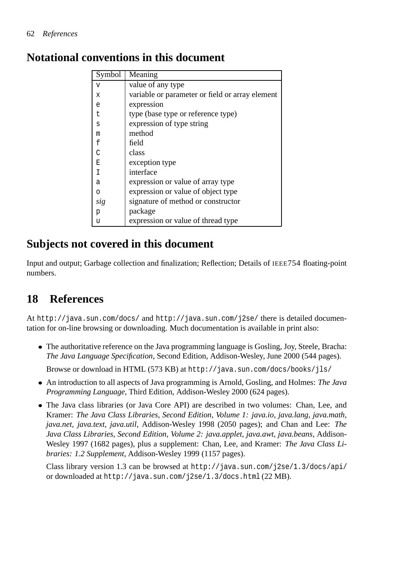| Symbol | Meaning                                         |
|--------|-------------------------------------------------|
| v      | value of any type                               |
| X      | variable or parameter or field or array element |
| e      | expression                                      |
| t      | type (base type or reference type)              |
| S      | expression of type string                       |
| m      | method                                          |
|        | field                                           |

a expression or value of array type o expression or value of object type *sig* signature of method or constructor

u expression or value of thread type

# **Notational conventions in this document**

# **Subjects not covered in this document**

C class

I interface

p package

E exception type

Input and output; Garbage collection and finalization; Reflection; Details of IEEE754 floating-point numbers.

# **18 References**

At http://java.sun.com/docs/ and http://java.sun.com/j2se/ there is detailed documentation for on-line browsing or downloading. Much documentation is available in print also:

• The authoritative reference on the Java programming language is Gosling, Joy, Steele, Bracha: *The Java Language Specification*, Second Edition, Addison-Wesley, June 2000 (544 pages).

Browse or download in HTML (573 KB) at http://java.sun.com/docs/books/jls/

- An introduction to all aspects of Java programming is Arnold, Gosling, and Holmes: *The Java Programming Language*, Third Edition, Addison-Wesley 2000 (624 pages).
- The Java class libraries (or Java Core API) are described in two volumes: Chan, Lee, and Kramer: *The Java Class Libraries, Second Edition, Volume 1: java.io, java.lang, java.math, java.net, java.text, java.util*, Addison-Wesley 1998 (2050 pages); and Chan and Lee: *The Java Class Libraries, Second Edition, Volume 2: java.applet, java.awt, java.beans*, Addison-Wesley 1997 (1682 pages), plus a supplement: Chan, Lee, and Kramer: *The Java Class Libraries: 1.2 Supplement*, Addison-Wesley 1999 (1157 pages).

Class library version 1.3 can be browsed at http://java.sun.com/j2se/1.3/docs/api/ or downloaded at http://java.sun.com/j2se/1.3/docs.html (22 MB).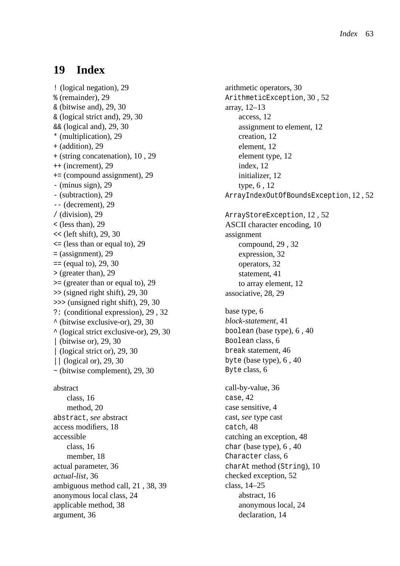# **19 Index**

! (logical negation), 29 % (remainder), 29 & (bitwise and), 29, 30 & (logical strict and), 29, 30 && (logical and), 29, 30 \* (multiplication), 29 + (addition), 29 + (string concatenation), 10 , 29 ++ (increment), 29 += (compound assignment), 29 - (minus sign), 29 - (subtraction), 29 -- (decrement), 29 / (division), 29 < (less than), 29 << (left shift), 29, 30 <= (less than or equal to), 29 = (assignment), 29 == (equal to), 29, 30 > (greater than), 29 >= (greater than or equal to), 29 >> (signed right shift), 29, 30 >>> (unsigned right shift), 29, 30 ?: (conditional expression), 29 , 32  $\hat{ }$  (bitwise exclusive-or), 29, 30 ^ (logical strict exclusive-or), 29, 30 | (bitwise or), 29, 30 | (logical strict or), 29, 30 || (logical or), 29, 30  $\sim$  (bitwise complement), 29, 30 abstract class, 16 method, 20 abstract, *see* abstract access modifiers, 18 accessible class, 16 member, 18 actual parameter, 36 *actual-list*, 36 ambiguous method call, 21 , 38, 39 anonymous local class, 24 applicable method, 38 argument, 36

arithmetic operators, 30 ArithmeticException, 30 , 52 array, 12–13 access, 12 assignment to element, 12 creation, 12 element, 12 element type, 12 index, 12 initializer, 12 type, 6 , 12 ArrayIndexOutOfBoundsException, 12 , 52 ArrayStoreException, 12 , 52 ASCII character encoding, 10 assignment compound, 29 , 32 expression, 32 operators, 32 statement, 41 to array element, 12 associative, 28, 29 base type, 6 *block-statement*, 41 boolean (base type), 6 , 40 Boolean class, 6 break statement, 46 byte (base type), 6 , 40 Byte class, 6 call-by-value, 36 case, 42 case sensitive, 4 cast, *see* type cast catch, 48 catching an exception, 48 char (base type), 6 , 40 Character class, 6 charAt method (String), 10 checked exception, 52 class, 14–25 abstract, 16 anonymous local, 24 declaration, 14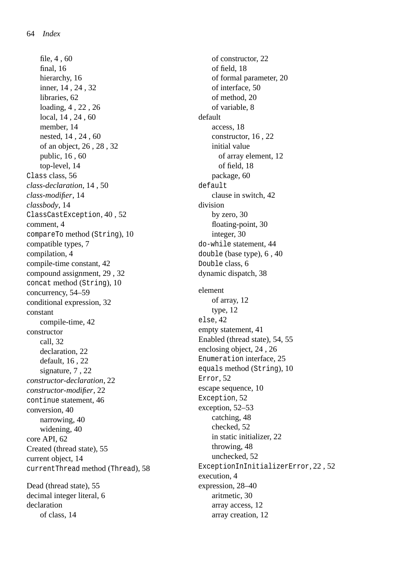file, 4 , 60 final, 16 hierarchy, 16 inner, 14 , 24 , 32 libraries, 62 loading, 4 , 22 , 26 local, 14 , 24 , 60 member, 14 nested, 14 , 24 , 60 of an object, 26 , 28 , 32 public, 16 , 60 top-level, 14 Class class, 56 *class-declaration*, 14 , 50 *class-modifier*, 14 *classbody*, 14 ClassCastException, 40 , 52 comment, 4 compareTo method (String), 10 compatible types, 7 compilation, 4 compile-time constant, 42 compound assignment, 29 , 32 concat method (String), 10 concurrency, 54–59 conditional expression, 32 constant compile-time, 42 constructor call, 32 declaration, 22 default, 16 , 22 signature, 7, 22 *constructor-declaration*, 22 *constructor-modifier*, 22 continue statement, 46 conversion, 40 narrowing, 40 widening, 40 core API, 62 Created (thread state), 55 current object, 14 currentThread method (Thread), 58

Dead (thread state), 55 decimal integer literal, 6 declaration of class, 14

of constructor, 22 of field, 18 of formal parameter, 20 of interface, 50 of method, 20 of variable, 8 default access, 18 constructor, 16 , 22 initial value of array element, 12 of field, 18 package, 60 default clause in switch, 42 division by zero, 30 floating-point, 30 integer, 30 do-while statement, 44 double (base type), 6 , 40 Double class, 6 dynamic dispatch, 38 element of array, 12 type, 12 else, 42 empty statement, 41 Enabled (thread state), 54, 55 enclosing object, 24 , 26 Enumeration interface, 25 equals method (String), 10 Error, 52 escape sequence, 10 Exception, 52 exception, 52–53 catching, 48 checked, 52 in static initializer, 22 throwing, 48 unchecked, 52 ExceptionInInitializerError, 22 , 52 execution, 4 expression, 28–40 aritmetic, 30 array access, 12 array creation, 12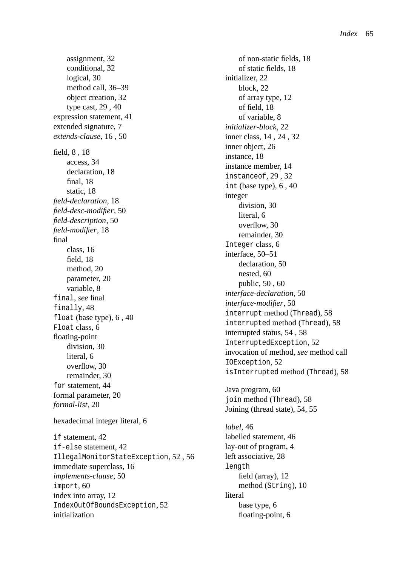assignment, 32 conditional, 32 logical, 30 method call, 36–39 object creation, 32 type cast, 29 , 40 expression statement, 41 extended signature, 7 *extends-clause*, 16 , 50 field, 8 , 18 access, 34 declaration, 18 final, 18 static, 18 *field-declaration*, 18 *field-desc-modifier*, 50 *field-description*, 50 *field-modifier*, 18 final class, 16 field, 18 method, 20 parameter, 20 variable, 8 final, *see* final finally, 48 float (base type), 6 , 40 Float class, 6 floating-point division, 30 literal, 6 overflow, 30 remainder, 30 for statement, 44 formal parameter, 20 *formal-list*, 20 hexadecimal integer literal, 6 if statement, 42 if-else statement, 42 IllegalMonitorStateException, 52 , 56 immediate superclass, 16 *implements-clause*, 50 import, 60 index into array, 12 IndexOutOfBoundsException, 52 initialization

of non-static fields, 18 of static fields, 18 initializer, 22 block, 22 of array type, 12 of field, 18 of variable, 8 *initializer-block*, 22 inner class, 14 , 24 , 32 inner object, 26 instance, 18 instance member, 14 instanceof, 29 , 32 int (base type), 6 , 40 integer division, 30 literal, 6 overflow, 30 remainder, 30 Integer class, 6 interface, 50–51 declaration, 50 nested, 60 public, 50 , 60 *interface-declaration*, 50 *interface-modifier*, 50 interrupt method (Thread), 58 interrupted method (Thread), 58 interrupted status, 54 , 58 InterruptedException, 52 invocation of method, *see* method call IOException, 52 isInterrupted method (Thread), 58 Java program, 60 join method (Thread), 58 Joining (thread state), 54, 55 *label*, 46 labelled statement, 46 lay-out of program, 4 left associative, 28 length field (array), 12 method (String), 10 literal base type, 6 floating-point, 6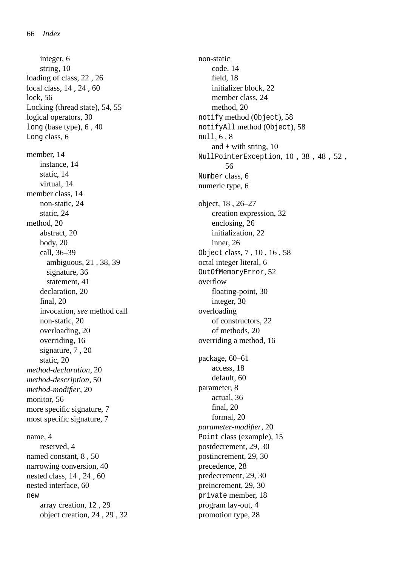integer , 6 string, 10 loading of class, 22 , 26 local class, 14 , 24 , 60 lock, 56 Locking (thread state), 54, 55 logical operators, 30 long (base type), 6 , 40 Long class, 6 member , 14 instance, 14 static, 14 virtual, 14 member class, 14 non-static, 24 static, 24 method, 20 abstract, 20 body , 20 call, 36–39 ambiguous, 21 , 38, 39 signature, 36 statement, 41 declaration, 20 final, 20 invocation, *see* method call non-static, 20 overloading, 20 overriding, 16 signature, 7 , 20 static, 20 *method-declaration* , 20 *method-description* , 50 *method-modifier* , 20 monitor , 56 more specific signature, 7 most specific signature, 7 name, 4 reserved, 4 named constant, 8 , 50 narrowing conversion, 40 nested class, 14 , 24 , 60 nested interface, 60 new array creation, 12 , 29 object creation, 24 , 29 , 32 non-static code, 14 field, 18 initializer block, 22 member class, 24 method, 20 notify method (Object), 58 notifyAll method (Object), 58 null , 6 , 8 and + with string, 10 NullPointerException , 10 , 38 , 48 , 52 , 56 Number class, 6 numeric type, 6 object, 18 , 26–27 creation expression, 32 enclosing, 26 initialization, 22 inner , 26 Object class, 7 , 10 , 16 , 58 octal integer literal, 6 OutOfMemoryError , 52 o verflo w floating-point, 30 integer , 30 o verloading of constructors, 22 of methods, 20 o verriding a method, 16 package, 60–61 access, 18 default, 60 parameter , 8 actual, 36 final, 20 formal, 20 *parameter-modifier* , 20 Point class (example), 15 postdecrement, 29, 30 postincrement, 29, 30 precedence, 28 predecrement, 29, 30 preincrement, 29, 30 private member , 18 program lay-out, 4 promotion type, 28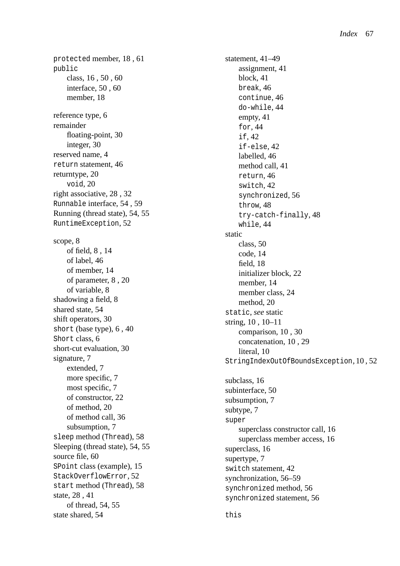protected member , 18 , 61 public class, 16 , 50 , 60 interface, 50 , 60 member , 18 reference type, 6 remainder floating-point, 30 integer , 30 reserved name, 4 return statement, 46 returntype, 20 void , 20 right associati ve, 28 , 32 Runnable interface, 54 , 59 Running (thread state), 54, 55 RuntimeException , 52 scope, 8 of field, 8 , 14 of label, 46 of member , 14 of parameter , 8 , 20 of variable, 8 shadowing a field, 8 shared state, 54 shift operators, 30 short (base type), 6 , 40 Short class, 6 short-cut e valuation, 30 signature, 7 extended, 7 more specific, 7 most specific, 7 of constructor , 22 of method, 20 of method call, 36 subsumption, 7 sleep method (Thread), 58 Sleeping (thread state), 54, 55 source file, 60 SPoint class (example), 15 StackOverflowError , 52 start method (Thread), 58 state, 28 , 41 of thread, 54, 55 state shared, 54

statement, 41–49 assignment, 41 block, 41 break , 46 continue , 46 do-while , 44 empty , 41 for , 44 if , 42 if-else , 42 labelled, 46 method call, 41 return , 46 switch , 42 synchronized , 56 throw , 48 try-catch-finally , 48 while , 44 static class, 50 code, 14 field, 18 initializer block, 22 member , 14 member class, 24 method, 20 static , *see* static string, 10 , 10–11 comparison, 10 , 30 concatenation, 10 , 29 literal, 10 StringIndexOutOfBoundsException , 10 , 52 subclass, 16 subinterface, 50 subsumption, 7 subtype, 7 super superclass constructor call, 16 superclass member access, 16 superclass, 16 supertype, 7 switch statement, 42 synchronization, 56–59 synchronized method, 56 synchronized statement, 56 this